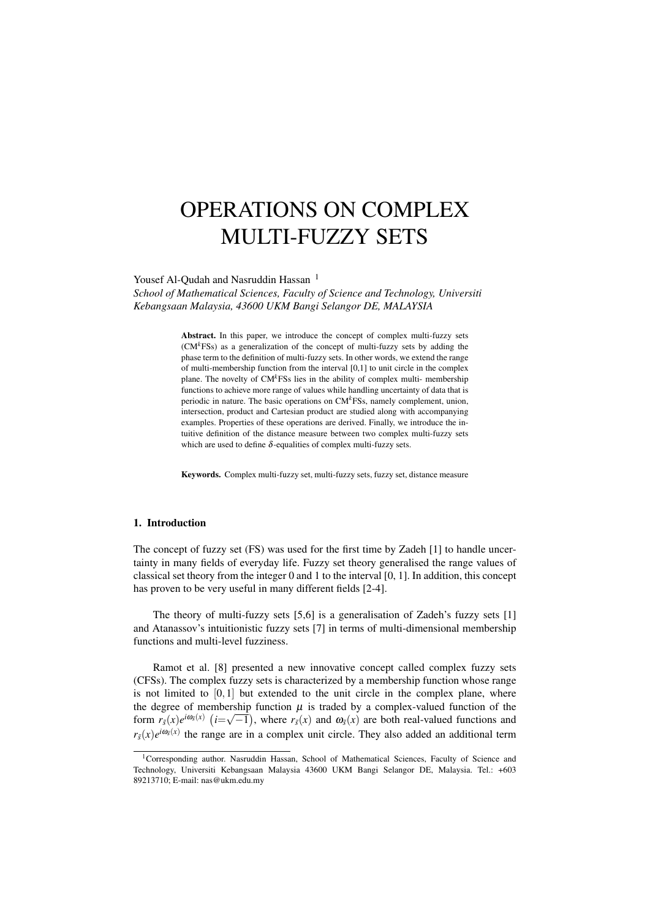# OPERATIONS ON COMPLEX MULTI-FUZZY SETS

Yousef Al-Qudah and Nasruddin Hassan<sup>1</sup>

*School of Mathematical Sciences, Faculty of Science and Technology, Universiti Kebangsaan Malaysia, 43600 UKM Bangi Selangor DE, MALAYSIA*

> Abstract. In this paper, we introduce the concept of complex multi-fuzzy sets (CM*k*FSs) as a generalization of the concept of multi-fuzzy sets by adding the phase term to the definition of multi-fuzzy sets. In other words, we extend the range of multi-membership function from the interval [0,1] to unit circle in the complex plane. The novelty of CM*k*FSs lies in the ability of complex multi- membership functions to achieve more range of values while handling uncertainty of data that is periodic in nature. The basic operations on CM*k*FSs, namely complement, union, intersection, product and Cartesian product are studied along with accompanying examples. Properties of these operations are derived. Finally, we introduce the intuitive definition of the distance measure between two complex multi-fuzzy sets which are used to define  $\delta$ -equalities of complex multi-fuzzy sets.

> Keywords. Complex multi-fuzzy set, multi-fuzzy sets, fuzzy set, distance measure

#### 1. Introduction

The concept of fuzzy set (FS) was used for the first time by Zadeh [1] to handle uncertainty in many fields of everyday life. Fuzzy set theory generalised the range values of classical set theory from the integer 0 and 1 to the interval [0, 1]. In addition, this concept has proven to be very useful in many different fields [2-4].

The theory of multi-fuzzy sets [5,6] is a generalisation of Zadeh's fuzzy sets [1] and Atanassov's intuitionistic fuzzy sets [7] in terms of multi-dimensional membership functions and multi-level fuzziness.

Ramot et al. [8] presented a new innovative concept called complex fuzzy sets (CFSs). The complex fuzzy sets is characterized by a membership function whose range is not limited to  $[0,1]$  but extended to the unit circle in the complex plane, where the degree of membership function  $\mu$  is traded by a complex-valued function of the form  $r_{\tilde{s}}(x)e^{i\omega_{\tilde{s}}(x)}$  ( $i=\sqrt{-1}$ ), where  $r_{\tilde{s}}(x)$  and  $\omega_{\tilde{s}}(x)$  are both real-valued functions and  $r_{\bar{s}}(x)e^{i\omega_{\bar{s}}(x)}$  the range are in a complex unit circle. They also added an additional term

<sup>&</sup>lt;sup>1</sup>Corresponding author. Nasruddin Hassan, School of Mathematical Sciences, Faculty of Science and Technology, Universiti Kebangsaan Malaysia 43600 UKM Bangi Selangor DE, Malaysia. Tel.: +603 89213710; E-mail: nas@ukm.edu.my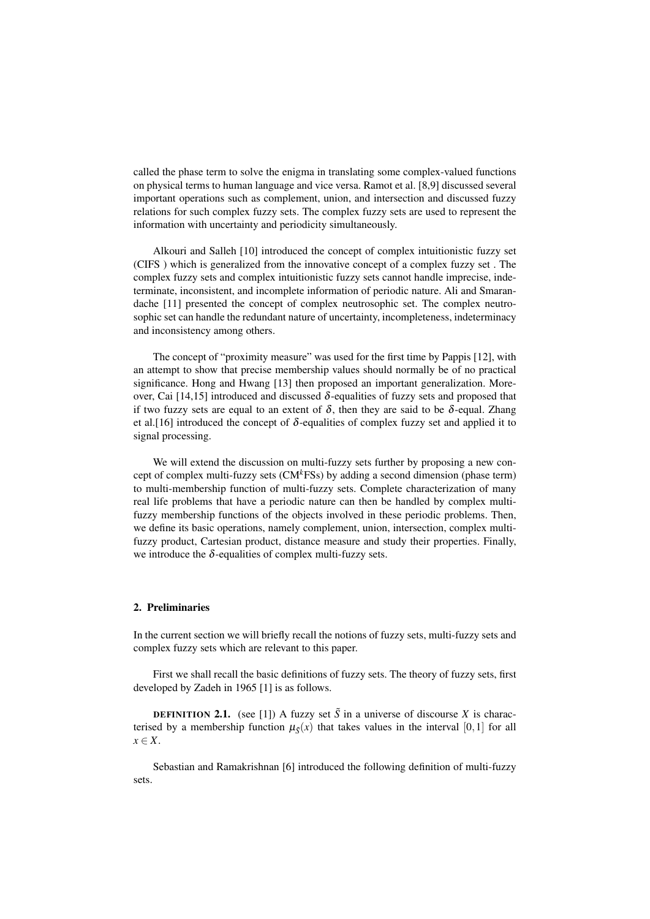called the phase term to solve the enigma in translating some complex-valued functions on physical terms to human language and vice versa. Ramot et al. [8,9] discussed several important operations such as complement, union, and intersection and discussed fuzzy relations for such complex fuzzy sets. The complex fuzzy sets are used to represent the information with uncertainty and periodicity simultaneously.

Alkouri and Salleh [10] introduced the concept of complex intuitionistic fuzzy set (CIFS ) which is generalized from the innovative concept of a complex fuzzy set . The complex fuzzy sets and complex intuitionistic fuzzy sets cannot handle imprecise, indeterminate, inconsistent, and incomplete information of periodic nature. Ali and Smarandache [11] presented the concept of complex neutrosophic set. The complex neutrosophic set can handle the redundant nature of uncertainty, incompleteness, indeterminacy and inconsistency among others.

The concept of "proximity measure" was used for the first time by Pappis [12], with an attempt to show that precise membership values should normally be of no practical significance. Hong and Hwang [13] then proposed an important generalization. Moreover, Cai [14,15] introduced and discussed  $\delta$ -equalities of fuzzy sets and proposed that if two fuzzy sets are equal to an extent of  $\delta$ , then they are said to be  $\delta$ -equal. Zhang et al. [16] introduced the concept of  $\delta$ -equalities of complex fuzzy set and applied it to signal processing.

We will extend the discussion on multi-fuzzy sets further by proposing a new concept of complex multi-fuzzy sets (CM*k*FSs) by adding a second dimension (phase term) to multi-membership function of multi-fuzzy sets. Complete characterization of many real life problems that have a periodic nature can then be handled by complex multifuzzy membership functions of the objects involved in these periodic problems. Then, we define its basic operations, namely complement, union, intersection, complex multifuzzy product, Cartesian product, distance measure and study their properties. Finally, we introduce the  $\delta$ -equalities of complex multi-fuzzy sets.

## 2. Preliminaries

In the current section we will briefly recall the notions of fuzzy sets, multi-fuzzy sets and complex fuzzy sets which are relevant to this paper.

First we shall recall the basic definitions of fuzzy sets. The theory of fuzzy sets, first developed by Zadeh in 1965 [1] is as follows.

**DEFINITION 2.1.** (see [1]) A fuzzy set  $\tilde{S}$  in a universe of discourse *X* is characterised by a membership function  $\mu_{\tilde{S}}(x)$  that takes values in the interval [0,1] for all *x* ∈ *X*.

Sebastian and Ramakrishnan [6] introduced the following definition of multi-fuzzy sets.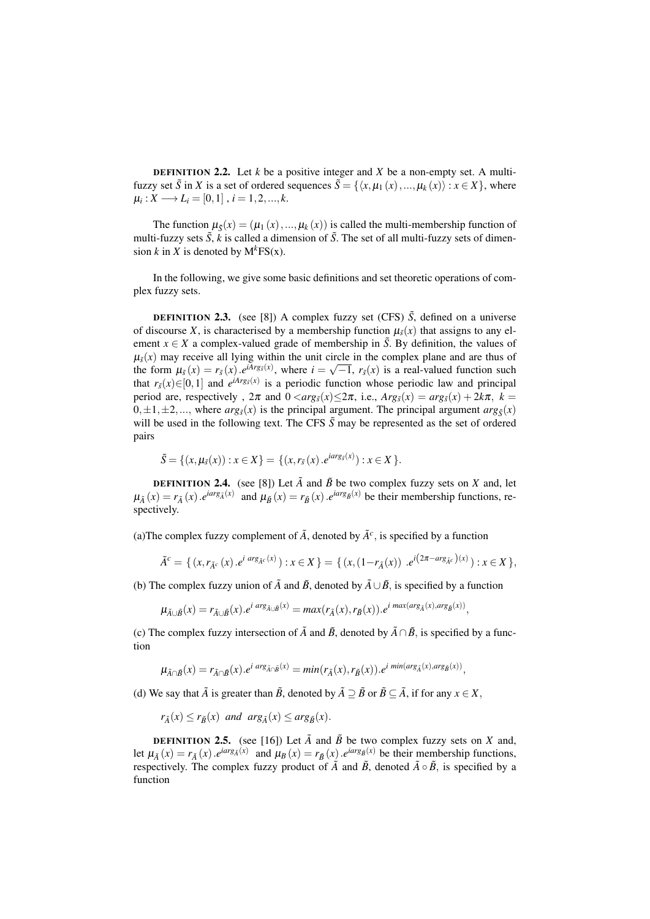**DEFINITION 2.2.** Let  $k$  be a positive integer and  $X$  be a non-empty set. A multifuzzy set  $\tilde{S}$  in *X* is a set of ordered sequences  $\tilde{S} = \{ \langle x, \mu_1(x), ..., \mu_k(x) \rangle : x \in X \}$ , where  $\mu_i: X \longrightarrow L_i = [0,1]$  ,  $i = 1,2,...,k$ .

The function  $\mu_{\tilde{g}}(x) = (\mu_1(x), ..., \mu_k(x))$  is called the multi-membership function of multi-fuzzy sets  $\tilde{S}$ ,  $\tilde{k}$  is called a dimension of  $\tilde{S}$ . The set of all multi-fuzzy sets of dimension *k* in *X* is denoted by  $M<sup>k</sup>FS(x)$ .

In the following, we give some basic definitions and set theoretic operations of complex fuzzy sets.

**DEFINITION 2.3.** (see [8]) A complex fuzzy set (CFS)  $\tilde{S}$ , defined on a universe of discourse *X*, is characterised by a membership function  $\mu_{\tilde{s}}(x)$  that assigns to any element  $x \in X$  a complex-valued grade of membership in  $\tilde{S}$ . By definition, the values of  $\mu_{\tilde{s}}(x)$  may receive all lying within the unit circle in the complex plane and are thus of the form  $\mu_{\tilde{s}}(x) = r_{\tilde{s}}(x) \cdot e^{iArg_{\tilde{s}}(x)}$ , where  $i =$ Fire in the complex plane and are thus of  $\sqrt{-1}$ ,  $r_{\bar{s}}(x)$  is a real-valued function such that  $r_{\tilde{s}}(x) \in [0,1]$  and  $e^{iArg_s(x)}$  is a periodic function whose periodic law and principal period are, respectively,  $2\pi$  and  $0 < arg_{\tilde{s}}(x) \leq 2\pi$ , i.e.,  $Arg_{\tilde{s}}(x) = arg_{\tilde{s}}(x) + 2k\pi$ ,  $k =$  $0, \pm 1, \pm 2, \ldots$ , where  $arg_{\bar{g}}(x)$  is the principal argument. The principal argument  $arg_{\bar{g}}(x)$ will be used in the following text. The CFS  $\tilde{S}$  may be represented as the set of ordered pairs

$$
\tilde{S} = \{(x, \mu_{\tilde{s}}(x)) : x \in X\} = \{(x, r_{\tilde{s}}(x) \cdot e^{iarg_{\tilde{s}}(x)}) : x \in X\}.
$$

**DEFINITION 2.4.** (see [8]) Let  $\tilde{A}$  and  $\tilde{B}$  be two complex fuzzy sets on *X* and, let  $\mu_{\tilde{A}}(x) = r_{\tilde{A}}(x) \cdot e^{i\alpha rs_{\tilde{A}}(x)}$  and  $\mu_{\tilde{B}}(x) = r_{\tilde{B}}(x) \cdot e^{i\alpha rs_{\tilde{B}}(x)}$  be their membership functions, respectively.

(a) The complex fuzzy complement of  $\tilde{A}$ , denoted by  $\tilde{A}^c$ , is specified by a function

$$
\tilde{A}^c = \{ (x, r_{\tilde{A}^c}(x) \cdot e^{i \arg_{\tilde{A}^c}(x)}): x \in X \} = \{ (x, (1 - r_{\tilde{A}}(x)) \cdot e^{i(2\pi - \arg_{\tilde{A}^c}(x))}: x \in X \},
$$

(b) The complex fuzzy union of  $\tilde{A}$  and  $\tilde{B}$ , denoted by  $\tilde{A} \cup \tilde{B}$ , is specified by a function

$$
\mu_{\tilde{A}\cup\tilde{B}}(x)=r_{\tilde{A}\cup\tilde{B}}(x).e^{i \arg_{\tilde{A}\cup\tilde{B}}(x)}=max(r_{\tilde{A}}(x),r_{\tilde{B}}(x)).e^{i \max(\arg_{\tilde{A}}(x),\arg_{\tilde{B}}(x))},
$$

(c) The complex fuzzy intersection of  $\tilde{A}$  and  $\tilde{B}$ , denoted by  $\tilde{A} \cap \tilde{B}$ , is specified by a function

$$
\mu_{\tilde{A}\cap\tilde{B}}(x)=r_{\tilde{A}\cap\tilde{B}}(x).\mathbf{e}^{i\arg_{\tilde{A}\cap\tilde{B}}(x)}=min(r_{\tilde{A}}(x),r_{\tilde{B}}(x)).\mathbf{e}^{i\min(\arg_{\tilde{A}}(x),\arg_{\tilde{B}}(x))},
$$

(d) We say that  $\tilde{A}$  is greater than  $\tilde{B}$ , denoted by  $\tilde{A} \supset \tilde{B}$  or  $\tilde{B} \subseteq \tilde{A}$ , if for any  $x \in X$ ,

 $r_{\tilde{A}}(x) \leq r_{\tilde{B}}(x)$  *and*  $arg_{\tilde{A}}(x) \leq arg_{\tilde{B}}(x)$ *.* 

**DEFINITION 2.5.** (see [16]) Let  $\tilde{A}$  and  $\tilde{B}$  be two complex fuzzy sets on *X* and, let  $\mu_{\tilde{A}}(x) = r_{\tilde{A}}(x)$ .*e*<sup>*iarg<sub>A</sub>*(*x*) and  $\mu_B(x) = r_{\tilde{B}}(x)$ .*e*<sup>*iarg<sub>B</sub>*(*x*) be their membership functions,</sup></sup> respectively. The complex fuzzy product of  $\tilde{A}$  and  $\tilde{B}$ , denoted  $\tilde{A} \circ \tilde{B}$ , is specified by a function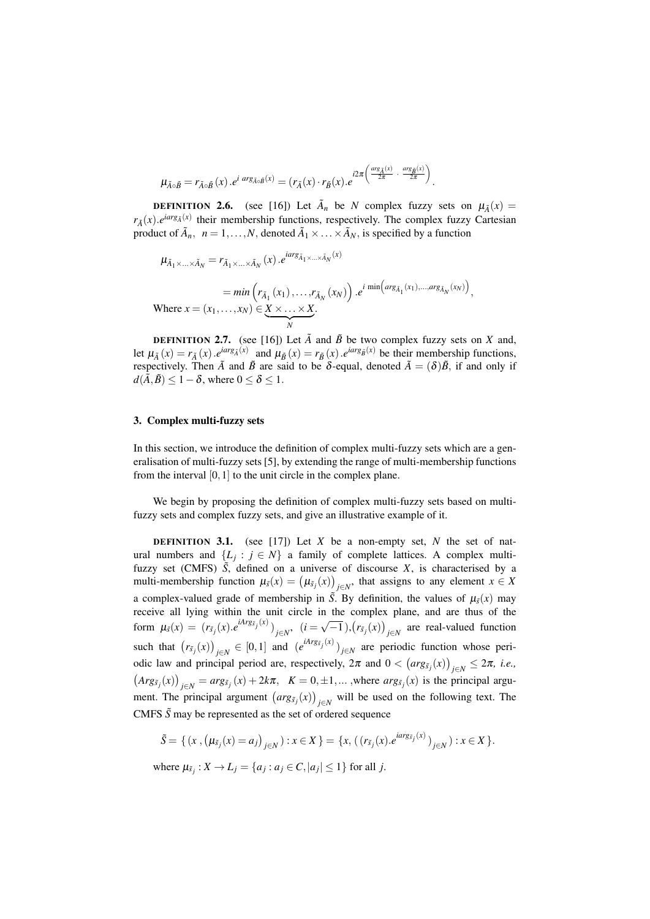$$
\mu_{\tilde{A}\circ\tilde{B}} = r_{\tilde{A}\circ\tilde{B}}(x) . e^{i \arg_{\tilde{A}\circ\tilde{B}}(x)} = (r_{\tilde{A}}(x) \cdot r_{\tilde{B}}(x) . e^{i 2\pi \left(\frac{\arg_{\tilde{A}}(x)}{2\pi} \cdot \frac{\arg_{\tilde{B}}(x)}{2\pi}\right)}.
$$

**DEFINITION 2.6.** (see [16]) Let  $\tilde{A}_n$  be *N* complex fuzzy sets on  $\mu_{\tilde{A}}(x) =$  $r_{\tilde{A}}(x)$ .*e*<sup>*iarg<sub>A</sub>*(*x*)</sup> their membership functions, respectively. The complex fuzzy Cartesian product of  $\tilde{A}_n$ ,  $n = 1, ..., N$ , denoted  $\tilde{A}_1 \times ... \times \tilde{A}_N$ , is specified by a function

$$
\mu_{\tilde{A}_1 \times \ldots \times \tilde{A}_N} = r_{\tilde{A}_1 \times \ldots \times \tilde{A}_N}(x) \cdot e^{iarg_{\tilde{A}_1 \times \ldots \times \tilde{A}_N}(x)}
$$
\n
$$
= \min \left( r_{\tilde{A}_1}(x_1), \ldots, r_{\tilde{A}_N}(x_N) \right) \cdot e^{i \min \left( arg_{\tilde{A}_1}(x_1), \ldots, arg_{\tilde{A}_N}(x_N) \right)},
$$
\nWhere  $x = (x_1, \ldots, x_N) \in \underbrace{X \times \ldots \times X}_{N}$ .

**DEFINITION 2.7.** (see [16]) Let  $\tilde{A}$  and  $\tilde{B}$  be two complex fuzzy sets on *X* and, let  $\mu_{\tilde{A}}(x) = r_{\tilde{A}}(x) \cdot e^{i \arg_{\tilde{A}}(x)}$  and  $\mu_{\tilde{B}}(x) = r_{\tilde{B}}(x) \cdot e^{i \arg_{\tilde{B}}(x)}$  be their membership functions, respectively. Then  $\tilde{A}$  and  $\tilde{B}$  are said to be  $\delta$ -equal, denoted  $\tilde{A} = (\delta)\tilde{B}$ , if and only if  $d(\tilde{A}, \tilde{B}) \leq 1 - \delta$ , where  $0 \leq \delta \leq 1$ .

### 3. Complex multi-fuzzy sets

In this section, we introduce the definition of complex multi-fuzzy sets which are a generalisation of multi-fuzzy sets [5], by extending the range of multi-membership functions from the interval  $[0,1]$  to the unit circle in the complex plane.

We begin by proposing the definition of complex multi-fuzzy sets based on multifuzzy sets and complex fuzzy sets, and give an illustrative example of it.

DEFINITION 3.1. (see [17]) Let *X* be a non-empty set, *N* the set of natural numbers and  $\{L_j : j \in N\}$  a family of complete lattices. A complex multifuzzy set (CMFS)  $\tilde{S}$ , defined on a universe of discourse  $X$ , is characterised by a multi-membership function  $\mu_{\tilde{s}}(x) = (\mu_{\tilde{s}_j}(x))_{j \in N}$ , that assigns to any element  $x \in X$ a complex-valued grade of membership in  $\tilde{S}$ . By definition, the values of  $\mu_{\tilde{S}}(x)$  may receive all lying within the unit circle in the complex plane, and are thus of the form  $\mu_{\tilde{s}}(x) = (r_{\tilde{s}_j}(x).e^{iArg_{\tilde{s}_j}(x)})_{j \in N}, \quad (i =$  $\sqrt{-1}$ ,  $(r_{\tilde{s}_j}(x))_{j \in N}$  are real-valued function such that  $(r_{\tilde{s}_j}(x))_{j \in N} \in [0,1]$  and  $(e^{iArg_{\tilde{s}_j}(x)})_{j \in N}$  are periodic function whose periodic law and principal period are, respectively,  $2\pi$  and  $0 < (arg_{\tilde{s}_j}(x))_{j \in N} \le 2\pi$ , *i.e.*,  $(\text{Arg}_{\tilde{s}_j}(x))_{j \in \mathbb{N}} = \text{arg}_{\tilde{s}_j}(x) + 2k\pi$ ,  $K = 0, \pm 1, \dots$ , where  $\text{arg}_{\tilde{s}_j}(x)$  is the principal argument. The principal argument  $\left( \arg s_j(x) \right)_{j \in \mathbb{N}}$  will be used on the following text. The CMFS  $\tilde{S}$  may be represented as the set of ordered sequence

$$
\tilde{S} = \{ (x, (\mu_{\tilde{s}_j}(x) = a_j)_{j \in N}) : x \in X \} = \{x, ((r_{\tilde{s}_j}(x), e^{i \arg_{\tilde{s}_j}(x)})_{j \in N}) : x \in X \}.
$$

where  $\mu_{\tilde{s}_j}: X \to L_j = \{a_j : a_j \in C, |a_j| \leq 1\}$  for all *j*.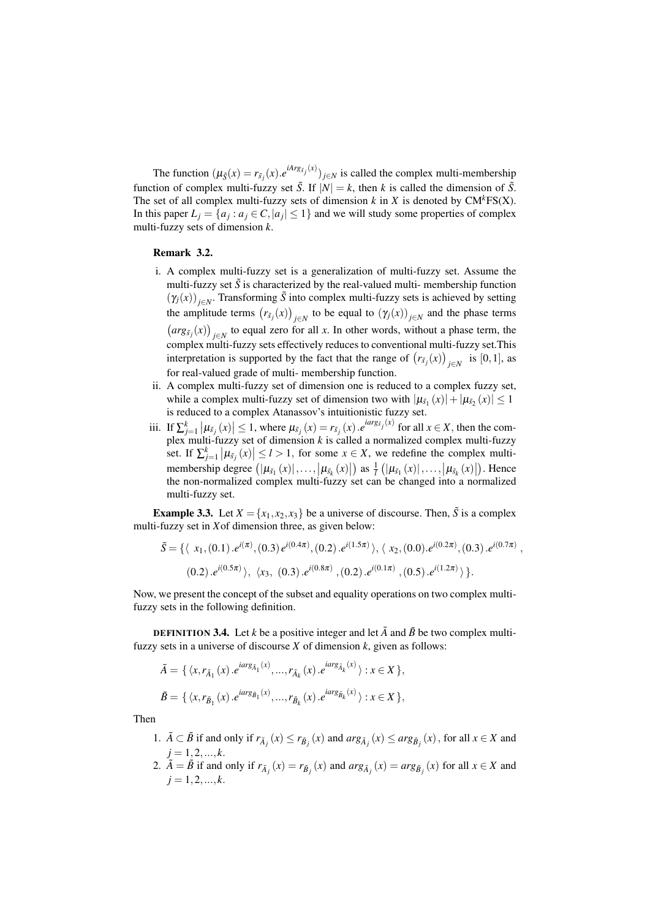The function  $(\mu_{\bar{S}}(x) = r_{\bar{S}_j}(x) \cdot e^{iArg_{\bar{S}_j}(x)})_{j \in N}$  is called the complex multi-membership function of complex multi-fuzzy set  $\tilde{S}$ . If  $|N| = k$ , then *k* is called the dimension of  $\tilde{S}$ . The set of all complex multi-fuzzy sets of dimension  $k$  in  $X$  is denoted by  $CM<sup>k</sup>FS(X)$ . In this paper  $L_j = \{a_j : a_j \in C, |a_j| \leq 1\}$  and we will study some properties of complex multi-fuzzy sets of dimension *k*.

## Remark 3.2.

- i. A complex multi-fuzzy set is a generalization of multi-fuzzy set. Assume the multi-fuzzy set  $\tilde{S}$  is characterized by the real-valued multi- membership function  $(\gamma_j(x))_{j \in \mathbb{N}}$ . Transforming  $\tilde{S}$  into complex multi-fuzzy sets is achieved by setting the amplitude terms  $(r_{\tilde{S}_j}(x))_{j \in N}$  to be equal to  $(\gamma_j(x))_{j \in N}$  and the phase terms  $\left(\arg(s_j(x)\right)_{j\in\mathbb{N}}$  to equal zero for all *x*. In other words, without a phase term, the complex multi-fuzzy sets effectively reduces to conventional multi-fuzzy set.This interpretation is supported by the fact that the range of  $(r_{\tilde{s}_j}(x))_{j \in N}$  is [0,1], as for real-valued grade of multi- membership function.
- ii. A complex multi-fuzzy set of dimension one is reduced to a complex fuzzy set, while a complex multi-fuzzy set of dimension two with  $|\mu_{\tilde{s}_1}(x)| + |\mu_{\tilde{s}_2}(x)| \le 1$ is reduced to a complex Atanassov's intuitionistic fuzzy set.
- iii. If  $\sum_{j=1}^k |\mu_{\tilde{s}_j}(x)| \le 1$ , where  $\mu_{\tilde{s}_j}(x) = r_{\tilde{s}_j}(x) e^{i \arg_{\tilde{s}_j}(x)}$  for all  $x \in X$ , then the complex multi-fuzzy set of dimension *k* is called a normalized complex multi-fuzzy set. If  $\sum_{j=1}^{k} |\mu_{\tilde{s}_j}(x)| \leq l > 1$ , for some  $x \in X$ , we redefine the complex multimembership degree  $(|\mu_{\tilde{s}_1}(x)|, \ldots, |\mu_{\tilde{s}_k}(x)|)$  as  $\frac{1}{l} (|\mu_{\tilde{s}_1}(x)|, \ldots, |\mu_{\tilde{s}_k}(x)|)$ . Hence the non-normalized complex multi-fuzzy set can be changed into a normalized multi-fuzzy set.

**Example 3.3.** Let  $X = \{x_1, x_2, x_3\}$  be a universe of discourse. Then,  $\tilde{S}$  is a complex multi-fuzzy set in *X*of dimension three, as given below:

$$
\tilde{S} = \{ \langle x_1, (0.1) . e^{i(\pi)}, (0.3) e^{i(0.4\pi)}, (0.2) . e^{i(1.5\pi)} \rangle, \langle x_2, (0.0) . e^{i(0.2\pi)}, (0.3) . e^{i(0.7\pi)}, (0.2) . e^{i(0.5\pi)} \rangle, \langle x_3, (0.3) . e^{i(0.8\pi)}, (0.2) . e^{i(0.1\pi)}, (0.5) . e^{i(1.2\pi)} \rangle \}.
$$

Now, we present the concept of the subset and equality operations on two complex multifuzzy sets in the following definition.

**DEFINITION 3.4.** Let *k* be a positive integer and let  $\tilde{A}$  and  $\tilde{B}$  be two complex multifuzzy sets in a universe of discourse *X* of dimension *k*, given as follows:

$$
\tilde{A} = \{ \langle x, r_{\tilde{A}_1}(x), e^{iarg_{\tilde{A}_1}(x)}, ..., r_{\tilde{A}_k}(x), e^{iarg_{\tilde{A}_k}(x)} \rangle : x \in X \},
$$
  

$$
\tilde{B} = \{ \langle x, r_{\tilde{B}_1}(x), e^{iarg_{\tilde{B}_1}(x)}, ..., r_{\tilde{B}_k}(x), e^{iarg_{\tilde{B}_k}(x)} \rangle : x \in X \},
$$

Then

- 1.  $\tilde{A} \subset \tilde{B}$  if and only if  $r_{\tilde{A}_j}(x) \leq r_{\tilde{B}_j}(x)$  and  $arg_{\tilde{A}_j}(x) \leq arg_{\tilde{B}_j}(x)$ , for all  $x \in X$  and  $j = 1, 2, ..., k.$
- 2.  $\tilde{A} = \tilde{B}$  if and only if  $r_{\tilde{A}_j}(x) = r_{\tilde{B}_j}(x)$  and  $arg_{\tilde{A}_j}(x) = arg_{\tilde{B}_j}(x)$  for all  $x \in X$  and  $j = 1, 2, ..., k$ .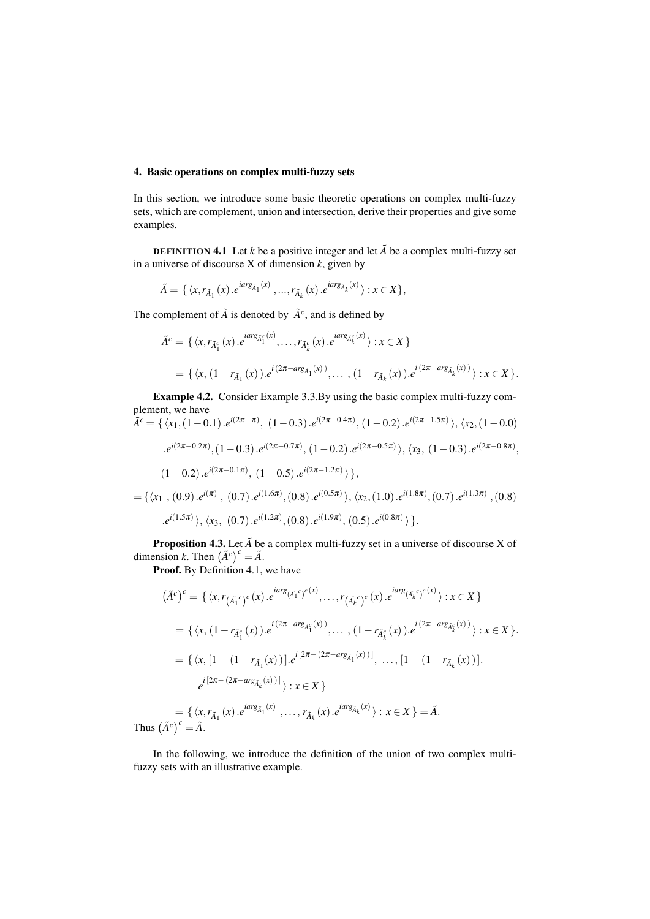# 4. Basic operations on complex multi-fuzzy sets

In this section, we introduce some basic theoretic operations on complex multi-fuzzy sets, which are complement, union and intersection, derive their properties and give some examples.

**DEFINITION 4.1** Let *k* be a positive integer and let  $\tilde{A}$  be a complex multi-fuzzy set in a universe of discourse X of dimension *k*, given by

$$
\tilde{A} = \{ \langle x, r_{\tilde{A}_1}(x) . e^{i \arg_{\tilde{A}_1}(x)}, ..., r_{\tilde{A}_k}(x) . e^{i \arg_{\tilde{A}_k}(x)} \rangle : x \in X \},
$$

The complement of  $\tilde{A}$  is denoted by  $\tilde{A}^c$ , and is defined by

$$
\tilde{A}^c = \{ \langle x, r_{\tilde{A}_1^c}(x), e^{i\alpha r g_{\tilde{A}_1^c}(x)}, \dots, r_{\tilde{A}_k^c}(x), e^{i\alpha r g_{\tilde{A}_k^c}(x)} \rangle : x \in X \}
$$
  
=  $\{ \langle x, (1 - r_{\tilde{A}_1}(x)), e^{i(2\pi - \alpha r g_{\tilde{A}_1}(x))}, \dots, (1 - r_{\tilde{A}_k}(x)), e^{i(2\pi - \alpha r g_{\tilde{A}_k}(x))} \rangle : x \in X \}.$ 

Example 4.2. Consider Example 3.3.By using the basic complex multi-fuzzy complement, we have  $\tilde{A}^c = \{ \langle x_1, (1-0.1).e^{i(2\pi - \pi)}, (1-0.3).e^{i(2\pi - 0.4\pi)}, (1-0.2).e^{i(2\pi - 1.5\pi)} \rangle, \langle x_2, (1-0.0).e^{i(2\pi - 1.5\pi)} \rangle \}$ 

$$
A = \{ \langle x_1, (1-0.1), e^{i(2\pi - 0.7\pi)}, (1-0.2), e^{i(2\pi - 0.5\pi)} \rangle, \langle x_3, (1-0.3), e^{i(2\pi - 0.8\pi)}, (1-0.2), e^{i(2\pi - 0.5\pi)}, (1-0.3), e^{i(2\pi - 0.8\pi)}, (1-0.2), e^{i(2\pi - 0.1\pi)}, (1-0.5), e^{i(2\pi - 1.2\pi)} \rangle \},
$$
  
\n
$$
= \{ \langle x_1, (0.9), e^{i(\pi)}, (0.7), e^{i(1.6\pi)}, (0.8), e^{i(0.5\pi)}, \langle x_2, (1.0), e^{i(1.8\pi)}, (0.7), e^{i(1.3\pi)}, (0.8), e^{i(1.5\pi)}, \langle x_3, (0.7), e^{i(1.2\pi)}, (0.8), e^{i(1.9\pi)}, (0.5), e^{i(0.8\pi)} \rangle \}.
$$

**Proposition 4.3.** Let  $\tilde{A}$  be a complex multi-fuzzy set in a universe of discourse X of dimension *k*. Then  $(\tilde{A}^c)^c = \tilde{A}$ .

Proof. By Definition 4.1, we have

$$
(\tilde{A}^{c})^{c} = \{ \langle x, r_{(\tilde{A}_{1}^{c})^{c}}(x), e^{iarg_{(\tilde{A}_{1}^{c})^{c}}(x)}, \dots, r_{(\tilde{A}_{k}^{c})^{c}}(x), e^{iarg_{(\tilde{A}_{k}^{c})^{c}}(x)} \rangle : x \in X \}
$$
  
\n
$$
= \{ \langle x, (1 - r_{\tilde{A}_{1}^{c}}(x)), e^{i(2\pi - arg_{\tilde{A}_{1}^{c}}(x))}, \dots, (1 - r_{\tilde{A}_{k}^{c}}(x)), e^{i(2\pi - arg_{\tilde{A}_{k}^{c}}(x))} \rangle : x \in X \}.
$$
  
\n
$$
= \{ \langle x, [1 - (1 - r_{\tilde{A}_{1}}(x))] \rangle : e^{i[2\pi - (2\pi - arg_{\tilde{A}_{1}}(x))]}, \dots, [1 - (1 - r_{\tilde{A}_{k}}(x))].
$$
  
\n
$$
e^{i[2\pi - (2\pi - arg_{\tilde{A}_{k}}(x))]}) : x \in X \}
$$
  
\n
$$
= \{ \langle x, r_{\tilde{A}_{1}}(x), e^{iarg_{\tilde{A}_{1}}(x)}, \dots, r_{\tilde{A}_{k}}(x), e^{iarg_{\tilde{A}_{k}}(x)} \rangle : x \in X \} = \tilde{A}.
$$

Thus  $(\tilde{A}^c)^c = \tilde{A}$ .

In the following, we introduce the definition of the union of two complex multifuzzy sets with an illustrative example.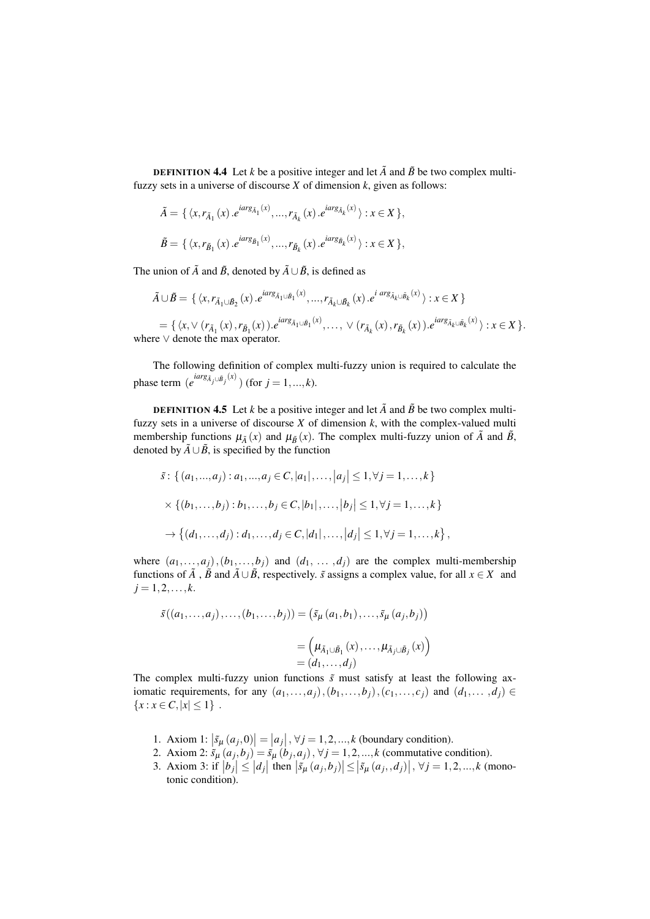**DEFINITION 4.4** Let *k* be a positive integer and let  $\tilde{A}$  and  $\tilde{B}$  be two complex multifuzzy sets in a universe of discourse *X* of dimension *k*, given as follows:

$$
\tilde{A} = \{ \langle x, r_{\tilde{A}_1}(x) . e^{i \arg_{\tilde{A}_1}(x)}, ..., r_{\tilde{A}_k}(x) . e^{i \arg_{\tilde{A}_k}(x)} \rangle : x \in X \},
$$

$$
\tilde{B} = \{ \langle x, r_{\tilde{B}_1}(x) . e^{iarg_{\tilde{B}_1}(x)}, ..., r_{\tilde{B}_k}(x) . e^{iarg_{\tilde{B}_k}(x)} \rangle : x \in X \},
$$

The union of  $\tilde{A}$  and  $\tilde{B}$ , denoted by  $\tilde{A} \cup \tilde{B}$ , is defined as

$$
\tilde{A} \cup \tilde{B} = \{ \langle x, r_{\tilde{A}_1 \cup \tilde{B}_2}(x) \cdot e^{iarg_{\tilde{A}_1 \cup \tilde{B}_1}(x)}, \dots, r_{\tilde{A}_k \cup \tilde{B}_k}(x) \cdot e^{iarg_{\tilde{A}_k \cup \tilde{B}_k}(x)} \rangle : x \in X \}
$$
\n
$$
= \{ \langle x, \vee (r_{\tilde{A}_1}(x), r_{\tilde{B}_1}(x)) \cdot e^{iarg_{\tilde{A}_1 \cup \tilde{B}_1}(x)}, \dots, \vee (r_{\tilde{A}_k}(x), r_{\tilde{B}_k}(x)) \cdot e^{iarg_{\tilde{A}_k \cup \tilde{B}_k}(x)} \rangle : x \in X \}.
$$
\nwhere  $\vee$  denote the max operator.

The following definition of complex multi-fuzzy union is required to calculate the phase term  $(e^{iarg_{\tilde{A}_j \cup \tilde{B}_j}(x)})$  (for  $j = 1, ..., k$ ).

**DEFINITION 4.5** Let *k* be a positive integer and let  $\tilde{A}$  and  $\tilde{B}$  be two complex multifuzzy sets in a universe of discourse *X* of dimension *k*, with the complex-valued multi membership functions  $\mu_{\tilde{A}}(x)$  and  $\mu_{\tilde{B}}(x)$ . The complex multi-fuzzy union of  $\tilde{A}$  and  $\tilde{B}$ , denoted by  $\tilde{A} \cup \tilde{B}$ , is specified by the function

$$
\tilde{s} : \left\{ (a_1, ..., a_j) : a_1, ..., a_j \in C, |a_1|, ..., |a_j| \le 1, \forall j = 1, ..., k \right\}
$$
  
 
$$
\times \left\{ (b_1, ..., b_j) : b_1, ..., b_j \in C, |b_1|, ..., |b_j| \le 1, \forall j = 1, ..., k \right\}
$$
  
 
$$
\rightarrow \left\{ (d_1, ..., d_j) : d_1, ..., d_j \in C, |d_1|, ..., |d_j| \le 1, \forall j = 1, ..., k \right\},\
$$

where  $(a_1, \ldots, a_j)$ ,  $(b_1, \ldots, b_j)$  and  $(d_1, \ldots, d_j)$  are the complex multi-membership functions of  $\tilde{A}$ ,  $\tilde{B}$  and  $\tilde{A} \cup \tilde{B}$ , respectively.  $\tilde{s}$  assigns a complex value, for all  $x \in X$  and  $j = 1, 2, \ldots, k.$ 

$$
\tilde{s}((a_1,\ldots,a_j),\ldots,(b_1,\ldots,b_j)) = (\tilde{s}_{\mu}(a_1,b_1),\ldots,\tilde{s}_{\mu}(a_j,b_j))
$$

$$
= (\mu_{\tilde{A}_1\cup\tilde{B}_1}(x),\ldots,\mu_{\tilde{A}_j\cup\tilde{B}_j}(x))
$$

$$
= (d_1,\ldots,d_j)
$$

The complex multi-fuzzy union functions  $\tilde{s}$  must satisfy at least the following axiomatic requirements, for any  $(a_1, \ldots, a_j), (b_1, \ldots, b_j), (c_1, \ldots, c_j)$  and  $(d_1, \ldots, d_j) \in$  ${x : x \in C, |x| \leq 1}$ .

- 1. Axiom 1:  $|\tilde{s}_{\mu}(a_j, 0)| = |a_j|, \forall j = 1, 2, ..., k$  (boundary condition).
- 2. Axiom 2:  $\tilde{s}_{\mu}(a_j, b_j) = \tilde{s}_{\mu}(b_j, a_j)$ ,  $\forall j = 1, 2, ..., k$  (commutative condition).
- 3. Axiom 3: if  $|b_j| \le |d_j|$  then  $|\tilde{s}_{\mu}(a_j, b_j)| \le |\tilde{s}_{\mu}(a_j, d_j)|$ ,  $\forall j = 1, 2, ..., k$  (monotonic condition).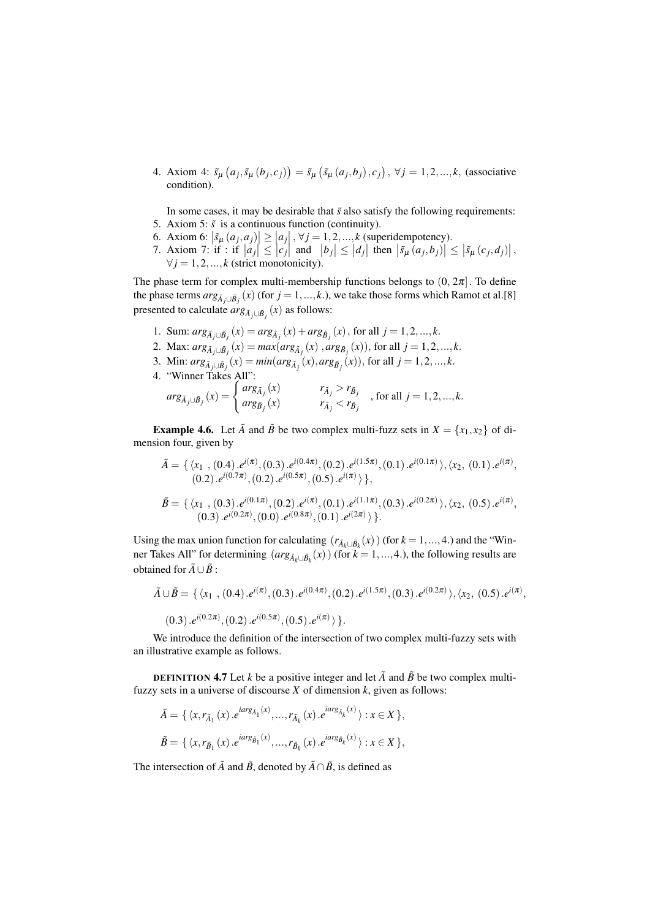4. Axiom 4:  $\tilde{s}_{\mu}(a_j, \tilde{s}_{\mu}(b_j, c_j)) = \tilde{s}_{\mu}(\tilde{s}_{\mu}(a_j, b_j), c_j), \forall j = 1, 2, ..., k$ , (associative condition).

In some cases, it may be desirable that  $\tilde{s}$  also satisfy the following requirements: 5. Axiom 5:  $\tilde{s}$  is a continuous function (continuity).

- 6. Axiom 6:  $\left|\frac{\mathcal{S}_{\mu}(a_j, a_j)}{\mathcal{S}_{\mu}(a_j, a_j)}\right| \geq |a_j|, \forall j = 1, 2, ..., k$  (superidempotency).
- 7. Axiom 7: if : if  $|a_j| \le |c_j|$  and  $|b_j| \le |d_j|$  then  $|\tilde{s}_{\mu}(a_j, b_j)| \le |\tilde{s}_{\mu}(c_j, d_j)|$ ,  $\forall j = 1, 2, ..., k$  (strict monotonicity).

The phase term for complex multi-membership functions belongs to  $(0, 2\pi]$ . To define the phase terms  $arg_{\tilde{A}_j\cup\tilde{B}_j}(x)$  (for  $j=1,...,k$ .), we take those forms which Ramot et al.[8] presented to calculate  $arg_{\tilde{A}_j \cup \tilde{B}_j}(x)$  as follows:

- 1. Sum:  $arg_{\tilde{A}_j \cup \tilde{B}_j}(x) = arg_{\tilde{A}_j}(x) + arg_{\tilde{B}_j}(x)$ , for all  $j = 1, 2, ..., k$ .
- 2. Max:  $arg_{\tilde{A}_j \cup \tilde{B}_j}(x) = max(arg_{\tilde{A}_j}(x), arg_{\tilde{B}_j}(x))$ , for all  $j = 1, 2, ..., k$ .
- 3. Min:  $arg_{\tilde{A}_j \cup \tilde{B}_j}(x) = min(arg_{\tilde{A}_j}(x), arg_{\tilde{B}_j}(x))$ , for all  $j = 1, 2, ..., k$ .
- 4. "Winner Takes All":

$$
arg_{\tilde{A}_j\cup\tilde{B}_j}(x) = \begin{cases} arg_{\tilde{A}_j}(x) & r_{\tilde{A}_j} > r_{\tilde{B}_j} \\ arg_{\tilde{B}_j}(x) & r_{\tilde{A}_j} < r_{\tilde{B}_j} \end{cases}
$$
, for all  $j = 1, 2, ..., k$ .

**Example 4.6.** Let  $\tilde{A}$  and  $\tilde{B}$  be two complex multi-fuzz sets in  $X = \{x_1, x_2\}$  of dimension four, given by

$$
\tilde{A} = \{ \langle x_1, (0.4), e^{i(\pi)}, (0.3), e^{i(0.4\pi)}, (0.2), e^{i(1.5\pi)}, (0.1), e^{i(0.1\pi)} \rangle, \langle x_2, (0.1), e^{i(\pi)}, (0.2), e^{i(0.7\pi)}, (0.2), e^{i(0.5\pi)}, (0.5), e^{i(\pi)} \rangle \},
$$
\n
$$
\tilde{B} = \{ \langle x_1, (0.3), e^{i(0.1\pi)}, (0.2), e^{i(\pi)}, (0.1), e^{i(1.1\pi)}, (0.3), e^{i(0.2\pi)} \rangle, \langle x_2, (0.5), e^{i(\pi)}, (0.3), e^{i(0.2\pi)}, (0.0), e^{i(0.8\pi)}, (0.1), e^{i(2\pi)} \rangle \}.
$$

Using the max union function for calculating  $(r_{\tilde{A}_k \cup \tilde{B}_k}(x))$  (for  $k = 1, ..., 4$ .) and the "Winner Takes All" for determining  $(\arg_{\tilde{A}_k \cup \tilde{B}_k}(x))$  (for  $k = 1, ..., 4$ .), the following results are obtained for  $\tilde{A} \cup \tilde{B}$  :

$$
\tilde{A} \cup \tilde{B} = \{ \langle x_1, (0.4) . e^{i(\pi)}, (0.3) . e^{i(0.4\pi)}, (0.2) . e^{i(1.5\pi)}, (0.3) . e^{i(0.2\pi)} \rangle, \langle x_2, (0.5) . e^{i(\pi)}, (0.3) . e^{i(0.2\pi)}, (0.2) . e^{i(0.5\pi)}, (0.5) . e^{i(\pi)} \rangle \}.
$$

We introduce the definition of the intersection of two complex multi-fuzzy sets with an illustrative example as follows.

**DEFINITION 4.7** Let *k* be a positive integer and let  $\tilde{A}$  and  $\tilde{B}$  be two complex multifuzzy sets in a universe of discourse *X* of dimension *k*, given as follows:

$$
\tilde{A} = \{ \langle x, r_{\tilde{A}_1}(x) . e^{i \arg_{\tilde{A}_1}(x)}, ..., r_{\tilde{A}_k}(x) . e^{i \arg_{\tilde{A}_k}(x)} \rangle : x \in X \},
$$
  

$$
\tilde{B} = \{ \langle x, r_{\tilde{B}_1}(x) . e^{i \arg_{\tilde{B}_1}(x)}, ..., r_{\tilde{B}_k}(x) . e^{i \arg_{\tilde{B}_k}(x)} \rangle : x \in X \},
$$

The intersection of  $\tilde{A}$  and  $\tilde{B}$ , denoted by  $\tilde{A} \cap \tilde{B}$ , is defined as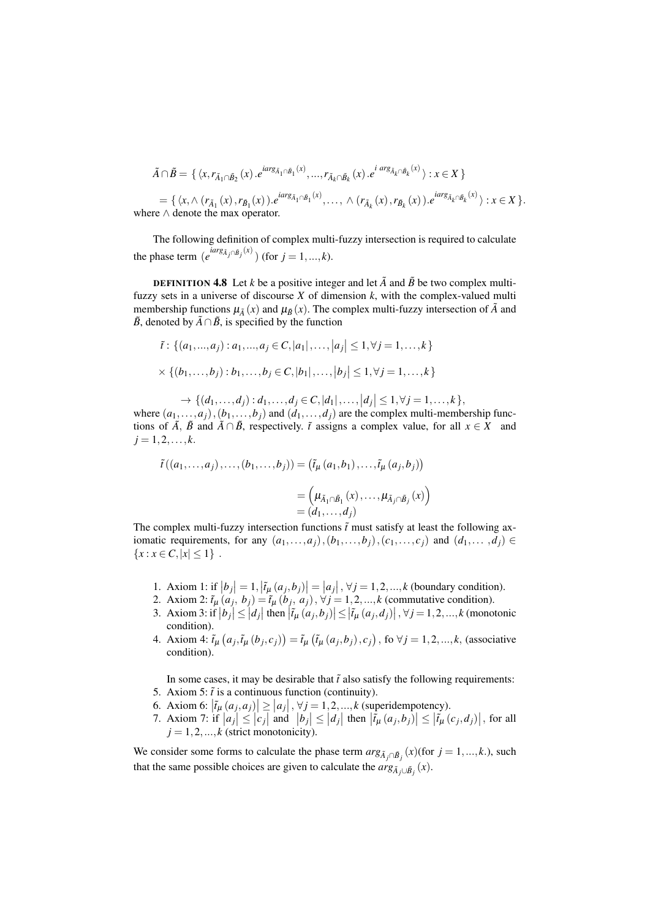$$
\tilde{A}\cap \tilde{B}=\{\, \langle x, r_{\tilde{A}_1\cap \tilde{B}_2}(x)\, . e^{iarg_{\tilde{A}_1\cap \tilde{B}_1}(x)},..., r_{\tilde{A}_k\cap \tilde{B}_k}(x)\, . e^{i\; arg_{\tilde{A}_k\cap \tilde{B}_k}(x)}\,\rangle : x\in X\, \}
$$

= { $\langle x, \wedge (r_{\tilde{A}_1}(x), r_{\tilde{B}_1}(x)) \cdot e^{iarg_{\tilde{A}_1 \cap \tilde{B}_1}(x)}, \dots, \wedge (r_{\tilde{A}_k}(x), r_{\tilde{B}_k}(x)) \cdot e^{iarg_{\tilde{A}_k \cap \tilde{B}_k}(x)} \rangle : x \in X$  }. where ∧ denote the max operator.

The following definition of complex multi-fuzzy intersection is required to calculate the phase term  $(e^{i\arg \tilde{A}_j \cap \tilde{B}_j}(x))$  (for  $j = 1, ..., k$ ).

**DEFINITION 4.8** Let *k* be a positive integer and let  $\tilde{A}$  and  $\tilde{B}$  be two complex multifuzzy sets in a universe of discourse *X* of dimension *k*, with the complex-valued multi membership functions  $\mu_{\tilde{A}}(x)$  and  $\mu_{\tilde{B}}(x)$ . The complex multi-fuzzy intersection of  $\tilde{A}$  and  $\tilde{B}$ , denoted by  $\tilde{A} \cap \tilde{B}$ , is specified by the function

$$
\tilde{t}: \{(a_1, ..., a_j) : a_1, ..., a_j \in C, |a_1|, ..., |a_j| \le 1, \forall j = 1, ..., k\}
$$
  
 
$$
\times \{(b_1, ..., b_j) : b_1, ..., b_j \in C, |b_1|, ..., |b_j| \le 1, \forall j = 1, ..., k\}
$$

 $\rightarrow \{(d_1, \ldots, d_j) : d_1, \ldots, d_j \in C, |d_1|, \ldots, |d_j| \leq 1, \forall j = 1, \ldots, k\},\$ where  $(a_1, \ldots, a_i)$ ,  $(b_1, \ldots, b_i)$  and  $(d_1, \ldots, d_i)$  are the complex multi-membership functions of  $\tilde{A}$ ,  $\tilde{B}$  and  $\tilde{A} \cap \tilde{B}$ , respectively.  $\tilde{t}$  assigns a complex value, for all  $x \in X$  and  $j = 1, 2, \ldots, k$ .

$$
\tilde{t}((a_1,\ldots,a_j),\ldots,(b_1,\ldots,b_j)) = (\tilde{t}_{\mu}(a_1,b_1),\ldots,\tilde{t}_{\mu}(a_j,b_j))
$$

$$
= (\mu_{\tilde{A}_1 \cap \tilde{B}_1}(x),\ldots,\mu_{\tilde{A}_j \cap \tilde{B}_j}(x))
$$

$$
= (d_1,\ldots,d_j)
$$

The complex multi-fuzzy intersection functions  $\tilde{t}$  must satisfy at least the following axiomatic requirements, for any  $(a_1, \ldots, a_j)$ ,  $(b_1, \ldots, b_j)$ ,  $(c_1, \ldots, c_j)$  and  $(d_1, \ldots, d_j)$  ${x : x \in C, |x| \leq 1}$ .

- 1. Axiom 1: if  $|b_j| = 1$ ,  $|\tilde{t}_\mu(a_j, b_j)| = |a_j|$ ,  $\forall j = 1, 2, ..., k$  (boundary condition).
- 2. Axiom 2:  $\tilde{t}_{\mu}(a_j, b_j) = \tilde{t}_{\mu}(b_j, a_j), \forall j = 1, 2, ..., k$  (commutative condition).
- 3. Axiom 3: if  $|b_j| \le |d_j|$  then  $|\tilde{t}_\mu(a_j,b_j)| \le |\tilde{t}_\mu(a_j,d_j)|$ ,  $\forall j = 1,2,...,k$  (monotonic condition).
- 4. Axiom 4:  $\tilde{t}_{\mu}(a_j, \tilde{t}_{\mu}(b_j, c_j)) = \tilde{t}_{\mu}(\tilde{t}_{\mu}(a_j, b_j), c_j)$ , fo  $\forall j = 1, 2, ..., k$ , (associative condition).

In some cases, it may be desirable that  $\tilde{t}$  also satisfy the following requirements:

- 5. Axiom 5:  $\tilde{t}$  is a continuous function (continuity).
- 6. Axiom 6:  $|\tilde{t}_\mu(a_j, a_j)| \ge |a_j|, \forall j = 1, 2, ..., k$  (superidempotency).
- 7. Axiom 7: if  $|a_j| \le |c_j|$  and  $|b_j| \le |d_j|$  then  $|\tilde{t}_\mu(a_j, b_j)| \le |\tilde{t}_\mu(c_j, d_j)|$ , for all  $j = 1, 2, \ldots, k$  (strict monotonicity).

We consider some forms to calculate the phase term  $arg_{\tilde{A}_j \cap \tilde{B}_j}(x)$  (for  $j = 1, ..., k$ .), such that the same possible choices are given to calculate the  $arg_{\tilde{A}_j \cup \tilde{B}_j}(x)$ .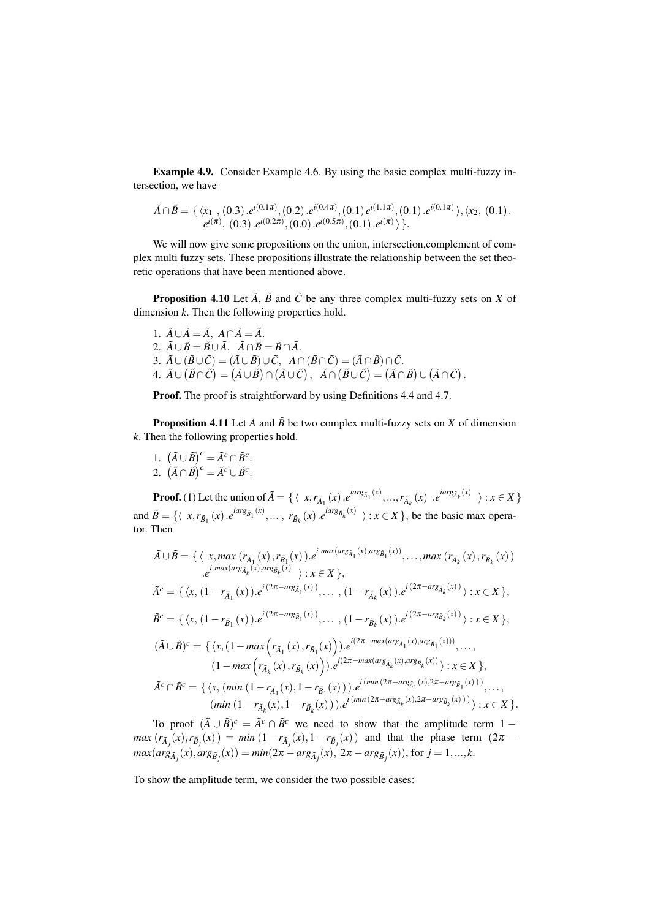Example 4.9. Consider Example 4.6. By using the basic complex multi-fuzzy intersection, we have

$$
\tilde{A} \cap \tilde{B} = \{ \langle x_1, (0.3) . e^{i(0.1\pi)}, (0.2) . e^{i(0.4\pi)}, (0.1) e^{i(1.1\pi)}, (0.1) . e^{i(0.1\pi)} \rangle, \langle x_2, (0.1) . e^{i(\pi)}, (0.3) . e^{i(0.2\pi)}, (0.0) . e^{i(0.5\pi)}, (0.1) . e^{i(\pi)} \rangle \}.
$$

We will now give some propositions on the union, intersection,complement of complex multi fuzzy sets. These propositions illustrate the relationship between the set theoretic operations that have been mentioned above.

**Proposition 4.10** Let  $\tilde{A}$ ,  $\tilde{B}$  and  $\tilde{C}$  be any three complex multi-fuzzy sets on *X* of dimension *k*. Then the following properties hold.

1.  $\tilde{A} \cup \tilde{A} = \tilde{A}$ ,  $A \cap \tilde{A} = \tilde{A}$ . 2.  $\tilde{A} \cup \tilde{B} = \tilde{B} \cup \tilde{A}$ ,  $\tilde{A} \cap \tilde{B} = \tilde{B} \cap \tilde{A}$ . 3.  $\tilde{A} \cup (\tilde{B} \cup \tilde{C}) = (\tilde{A} \cup \tilde{B}) \cup \tilde{C}$ ,  $A \cap (\tilde{B} \cap \tilde{C}) = (\tilde{A} \cap \tilde{B}) \cap \tilde{C}$ .  $A. \ \tilde{A} \cup (\tilde{B} \cap \tilde{C}) = (\tilde{A} \cup \tilde{B}) \cap (\tilde{A} \cup \tilde{C}), \ \ \tilde{A} \cap (\tilde{B} \cup \tilde{C}) = (\tilde{A} \cap \tilde{B}) \cup (\tilde{A} \cap \tilde{C}).$ 

Proof. The proof is straightforward by using Definitions 4.4 and 4.7.

**Proposition 4.11** Let *A* and  $\tilde{B}$  be two complex multi-fuzzy sets on *X* of dimension *k*. Then the following properties hold.

1.  $(\tilde{A} \cup \tilde{B})^c = \tilde{A}^c \cap \tilde{B}^c$ . 2.  $(\tilde{A} \cap \tilde{B})^c = \tilde{A}^c \cup \tilde{B}^c$ .

**Proof.** (1) Let the union of  $\tilde{A} = \{ \langle x, r_{\tilde{A}_1}(x), e^{iarg_{\tilde{A}_1}(x)}, ..., r_{\tilde{A}_k}(x), e^{iarg_{\tilde{A}_k}(x)} \rangle : x \in X \}$ and  $\tilde{B} = \{ \langle x, r_{\tilde{B}_1}(x) \cdot e^{iarg_{\tilde{B}_1}(x)}, \dots, r_{\tilde{B}_k}(x) \cdot e^{iarg_{\tilde{B}_k}(x)} \rangle : x \in X \}$ , be the basic max operator. Then

$$
\tilde{A} \cup \tilde{B} = \{ \langle x, \max(r_{\tilde{A}_1}(x), r_{\tilde{B}_1}(x)), e^{i \max(\arg_{\tilde{A}_1}(x), \arg_{\tilde{B}_1}(x))}, \dots, \max(r_{\tilde{A}_k}(x), r_{\tilde{B}_k}(x)) \rangle : x \in X \},
$$
\n
$$
\tilde{A}^c = \{ \langle x, (1 - r_{\tilde{A}_1}(x)), e^{i (2\pi - \arg_{\tilde{A}_1}(x))}, \dots, (1 - r_{\tilde{A}_k}(x)), e^{i (2\pi - \arg_{\tilde{A}_k}(x))} \rangle : x \in X \},
$$
\n
$$
\tilde{B}^c = \{ \langle x, (1 - r_{\tilde{B}_1}(x)), e^{i (2\pi - \arg_{\tilde{B}_1}(x))}, \dots, (1 - r_{\tilde{B}_k}(x)), e^{i (2\pi - \arg_{\tilde{B}_k}(x))} \rangle : x \in X \},
$$
\n
$$
(\tilde{A} \cup \tilde{B})^c = \{ \langle x, (1 - \max(r_{\tilde{A}_1}(x), r_{\tilde{B}_1}(x))), e^{i (2\pi - \max(\arg_{\tilde{A}_1}(x), \arg_{\tilde{B}_1}(x)))}, \dots, (1 - \max(r_{\tilde{A}_k}(x), r_{\tilde{B}_k}(x))), e^{i (2\pi - \max(\arg_{\tilde{A}_k}(x), \arg_{\tilde{B}_k}(x)))}) : x \in X \},
$$
\n
$$
\tilde{A}^c \cap \tilde{B}^c = \{ \langle x, (\min(1 - r_{\tilde{A}_1}(x), 1 - r_{\tilde{B}_1}(x))), e^{i (\min(2\pi - \arg_{\tilde{A}_1}(x), 2\pi - \arg_{\tilde{B}_1}(x)))}, \dots, (\min(1 - r_{\tilde{A}_k}(x), 1 - r_{\tilde{B}_k}(x))), e^{i (\min(2\pi - \arg_{\tilde{A}_k}(x), 2\pi - \arg_{\tilde{B}_k}(x)))}) : x \in X \}.
$$

To proof  $(\tilde{A} \cup \tilde{B})^c = \tilde{A}^c \cap \tilde{B}^c$  we need to show that the amplitude term 1 −  $max (r_{\tilde{A}_j}(x), r_{\tilde{B}_j}(x)) = min (1 - r_{\tilde{A}_j}(x), 1 - r_{\tilde{B}_j}(x))$  and that the phase term  $(2\pi$  $max(arg_{\tilde{A}_j}(x), arg_{\tilde{B}_j}(x)) = min(2\pi - arg_{\tilde{A}_j}(x), 2\pi - arg_{\tilde{B}_j}(x)),$  for  $j = 1, ..., k$ .

To show the amplitude term, we consider the two possible cases: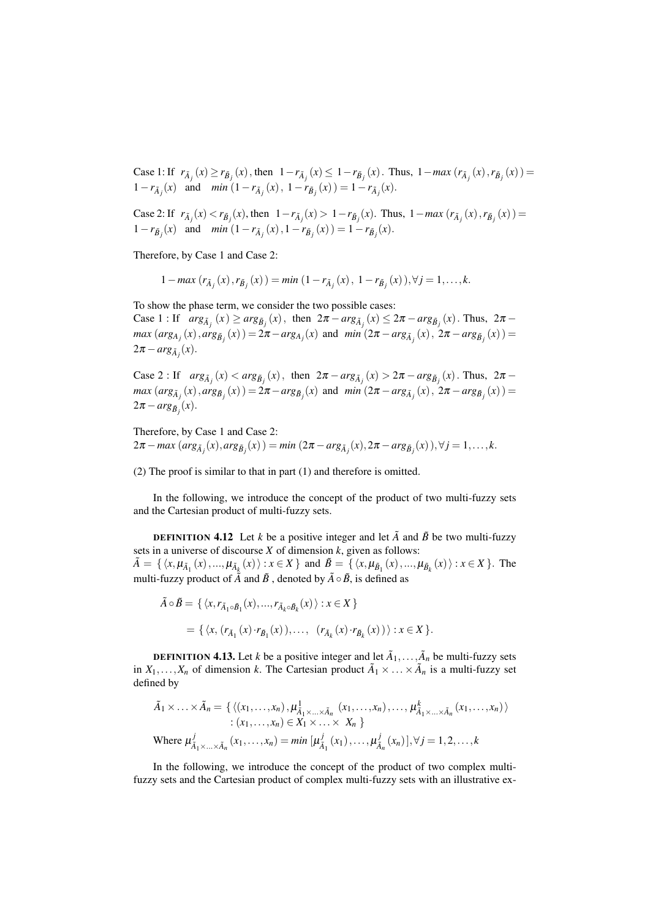Case 1: If  $r_{\tilde{A}_j}(x) \ge r_{\tilde{B}_j}(x)$ , then  $1 - r_{\tilde{A}_j}(x) \le 1 - r_{\tilde{B}_j}(x)$ . Thus,  $1 - max(r_{\tilde{A}_j}(x), r_{\tilde{B}_j}(x)) =$ 1-*r*<sub> $\tilde{A}_j(x)$  and *min*  $(1 - r_{\tilde{A}_j}(x), 1 - r_{\tilde{B}_j}(x)) = 1 - r_{\tilde{A}_j}(x)$ .</sub>

Case 2: If  $r_{\tilde{A}_j}(x) < r_{\tilde{B}_j}(x)$ , then  $1 - r_{\tilde{A}_j}(x) > 1 - r_{\tilde{B}_j}(x)$ . Thus,  $1 - max(r_{\tilde{A}_j}(x), r_{\tilde{B}_j}(x)) =$ 1-*r*<sub> $\tilde{B}_j(x)$  and *min*  $(1 - r_{\tilde{A}_j}(x), 1 - r_{\tilde{B}_j}(x)) = 1 - r_{\tilde{B}_j}(x)$ .</sub>

Therefore, by Case 1 and Case 2:

 $1 - max (r_{\tilde{A}_j}(x), r_{\tilde{B}_j}(x)) = min (1 - r_{\tilde{A}_j}(x), 1 - r_{\tilde{B}_j}(x)), \forall j = 1, ..., k.$ 

To show the phase term, we consider the two possible cases: Case 1 : If  $arg_{\tilde{A}_j}(x) \geq arg_{\tilde{B}_j}(x)$ , then  $2\pi - arg_{\tilde{A}_j}(x) \leq 2\pi - arg_{\tilde{B}_j}(x)$ . Thus,  $2\pi$  $max (arg_{A_j}(x), arg_{\tilde{B}_j}(x)) = 2\pi - arg_{A_j}(x)$  and  $min (2\pi - arg_{\tilde{A}_j}(x), 2\pi - arg_{\tilde{B}_j}(x)) =$  $2\pi - arg_{\tilde{A}_j}(x)$ .

Case 2 : If  $arg_{\tilde{A}_j}(x) < arg_{\tilde{B}_j}(x)$ , then  $2\pi - arg_{\tilde{A}_j}(x) > 2\pi - arg_{\tilde{B}_j}(x)$ . Thus,  $2\pi$  $max (arg_{\tilde{A}_j}(x), arg_{\tilde{B}_j}(x)) = 2\pi - arg_{\tilde{B}_j}(x)$  and  $min (2\pi - arg_{\tilde{A}_j}(x), 2\pi - arg_{\tilde{B}_j}(x)) =$  $2\pi - arg_{\tilde{B}_j}(x)$ .

Therefore, by Case 1 and Case 2:  $2\pi - \max(\arg_{\tilde{A}_j}(x), \arg_{\tilde{B}_j}(x)) = \min(2\pi - \arg_{\tilde{A}_j}(x), 2\pi - \arg_{\tilde{B}_j}(x)), \forall j = 1, ..., k.$ 

(2) The proof is similar to that in part (1) and therefore is omitted.

In the following, we introduce the concept of the product of two multi-fuzzy sets and the Cartesian product of multi-fuzzy sets.

**DEFINITION 4.12** Let *k* be a positive integer and let  $\tilde{A}$  and  $\tilde{B}$  be two multi-fuzzy sets in a universe of discourse *X* of dimension *k*, given as follows:  $\tilde{A} = \{ \langle x, \mu_{\tilde{A}_1}(x), ..., \mu_{\tilde{A}_k}(x) \rangle : x \in X \}$  and  $\tilde{B} = \{ \langle x, \mu_{\tilde{B}_1}(x), ..., \mu_{\tilde{B}_k}(x) \rangle : x \in X \}$ . The multi-fuzzy product of  $\tilde{A}$  and  $\tilde{B}$ , denoted by  $\tilde{A} \circ \tilde{B}$ , is defined as

$$
\tilde{A} \circ \tilde{B} = \{ \langle x, r_{\tilde{A}_1 \circ \tilde{B}_1}(x), ..., r_{\tilde{A}_k \circ \tilde{B}_k}(x) \rangle : x \in X \}
$$
  
= 
$$
\{ \langle x, (r_{\tilde{A}_1}(x) \cdot r_{\tilde{B}_1}(x)), ..., (r_{\tilde{A}_k}(x) \cdot r_{\tilde{B}_k}(x)) \rangle : x \in X \}.
$$

**DEFINITION 4.13.** Let *k* be a positive integer and let  $\tilde{A}_1, \ldots, \tilde{A}_n$  be multi-fuzzy sets in  $X_1, \ldots, X_n$  of dimension *k*. The Cartesian product  $\tilde{A}_1 \times \ldots \times \tilde{A}_n$  is a multi-fuzzy set defined by

$$
\tilde{A}_1 \times \ldots \times \tilde{A}_n = \{ \langle (x_1, \ldots, x_n), \mu^1_{\tilde{A}_1 \times \ldots \times \tilde{A}_n} (x_1, \ldots, x_n), \ldots, \mu^k_{\tilde{A}_1 \times \ldots \times \tilde{A}_n} (x_1, \ldots, x_n) \rangle
$$
\n
$$
\vdots (x_1, \ldots, x_n) \in X_1 \times \ldots \times X_n \}
$$
\nWhere  $\mu^j_{\tilde{A}_1 \times \ldots \times \tilde{A}_n} (x_1, \ldots, x_n) = \min [\mu^j_{\tilde{A}_1} (x_1), \ldots, \mu^j_{\tilde{A}_n} (x_n)], \forall j = 1, 2, \ldots, k$ 

In the following, we introduce the concept of the product of two complex multifuzzy sets and the Cartesian product of complex multi-fuzzy sets with an illustrative ex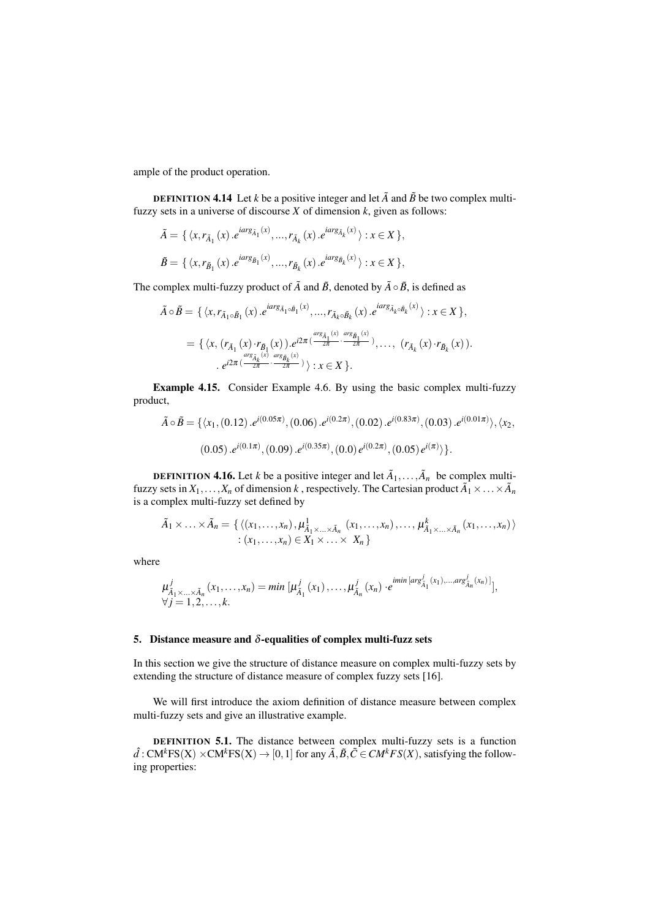ample of the product operation.

**DEFINITION 4.14** Let *k* be a positive integer and let  $\tilde{A}$  and  $\tilde{B}$  be two complex multifuzzy sets in a universe of discourse *X* of dimension *k*, given as follows:

$$
\tilde{A} = \{ \langle x, r_{\tilde{A}_1}(x) . e^{i \arg_{\tilde{A}_1}(x)}, ..., r_{\tilde{A}_k}(x) . e^{i \arg_{\tilde{A}_k}(x)} \rangle : x \in X \},
$$
  

$$
\tilde{B} = \{ \langle x, r_{\tilde{B}_1}(x) . e^{i \arg_{\tilde{B}_1}(x)}, ..., r_{\tilde{B}_k}(x) . e^{i \arg_{\tilde{B}_k}(x)} \rangle : x \in X \},
$$

The complex multi-fuzzy product of  $\tilde{A}$  and  $\tilde{B}$ , denoted by  $\tilde{A} \circ \tilde{B}$ , is defined as

$$
\tilde{A} \circ \tilde{B} = \{ \langle x, r_{\tilde{A}_1 \circ \tilde{B}_1}(x) \cdot e^{i \alpha r g_{\tilde{A}_1 \circ \tilde{B}_1}(x)}, \dots, r_{\tilde{A}_k \circ \tilde{B}_k}(x) \cdot e^{i \alpha r g_{\tilde{A}_k \circ \tilde{B}_k}(x)} \rangle : x \in X \},
$$
\n
$$
= \{ \langle x, (r_{\tilde{A}_1}(x) \cdot r_{\tilde{B}_1}(x)), e^{i 2\pi (\frac{\alpha r g_{\tilde{A}_1}(x)}{2\pi} \cdot \frac{\alpha r g_{\tilde{B}_1}(x)}{2\pi})}, \dots, (r_{\tilde{A}_k}(x) \cdot r_{\tilde{B}_k}(x)).
$$
\n
$$
\cdot e^{i 2\pi (\frac{\alpha r g_{\tilde{A}_k}(x)}{2\pi} \cdot \frac{\alpha r g_{\tilde{B}_k}(x)}{2\pi})} \rangle : x \in X \}.
$$

Example 4.15. Consider Example 4.6. By using the basic complex multi-fuzzy product,

$$
\tilde{A} \circ \tilde{B} = \{ \langle x_1, (0.12) . e^{i(0.05\pi)}, (0.06) . e^{i(0.2\pi)}, (0.02) . e^{i(0.83\pi)}, (0.03) . e^{i(0.01\pi)} \rangle, \langle x_2, (0.05) . e^{i(0.1\pi)}, (0.09) . e^{i(0.35\pi)}, (0.0) e^{i(0.2\pi)}, (0.05) e^{i(\pi)} \rangle \}.
$$

**DEFINITION 4.16.** Let *k* be a positive integer and let  $\tilde{A}_1, \ldots, \tilde{A}_n$  be complex multifuzzy sets in  $X_1, \ldots, X_n$  of dimension  $k$  , respectively. The Cartesian product  $\tilde{A}_1 \times \ldots \times \tilde{A}_n$ is a complex multi-fuzzy set defined by

$$
\tilde{A}_1 \times \ldots \times \tilde{A}_n = \{ \langle (x_1, \ldots, x_n), \mu^1_{\tilde{A}_1 \times \ldots \times \tilde{A}_n} (x_1, \ldots, x_n), \ldots, \mu^k_{\tilde{A}_1 \times \ldots \times \tilde{A}_n} (x_1, \ldots, x_n) \rangle \n: (x_1, \ldots, x_n) \in X_1 \times \ldots \times X_n \}
$$

where

$$
\mu_{\tilde{A}_1 \times ... \times \tilde{A}_n}^j(x_1,...,x_n) = \min \left[ \mu_{\tilde{A}_1}^j(x_1),..., \mu_{\tilde{A}_n}^j(x_n) \cdot e^{i \min \left[ arg_{\tilde{A}_1}^j(x_1),...,arg_{\tilde{A}_n}^j(x_n) \right]} \right],
$$
  
\n
$$
\forall j = 1,2,...,k.
$$

## 5. Distance measure and  $\delta$ -equalities of complex multi-fuzz sets

In this section we give the structure of distance measure on complex multi-fuzzy sets by extending the structure of distance measure of complex fuzzy sets [16].

We will first introduce the axiom definition of distance measure between complex multi-fuzzy sets and give an illustrative example.

DEFINITION 5.1. The distance between complex multi-fuzzy sets is a function  $\hat{d}$  : CM<sup>k</sup>FS(X) ×CM<sup>k</sup>FS(X) → [0,1] for any  $\tilde{A}$ ,  $\tilde{B}$ ,  $\tilde{C}$   $\in CM^kFS(X)$ , satisfying the following properties: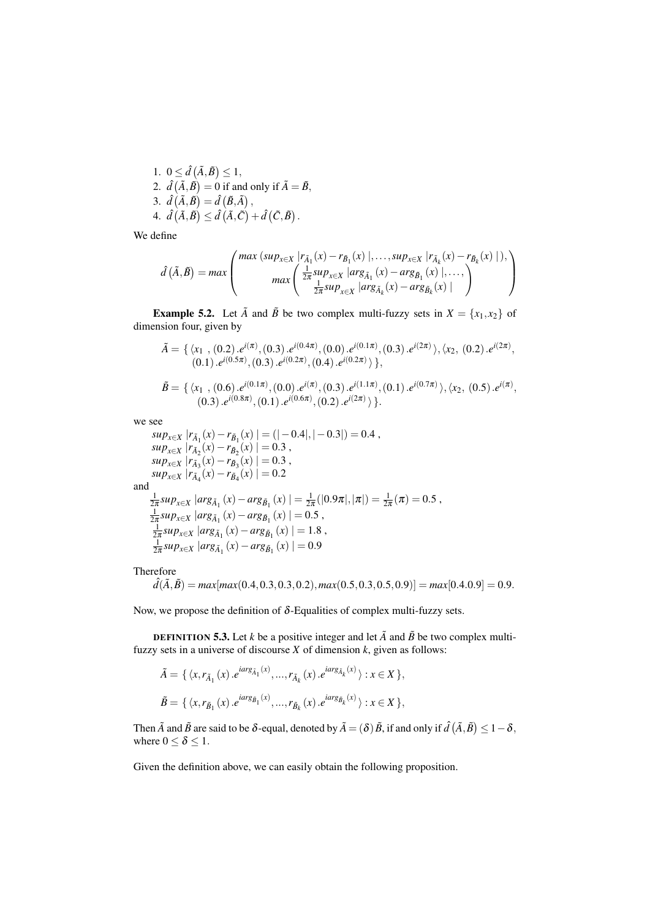1. 
$$
0 \leq \hat{d}(\tilde{A}, \tilde{B}) \leq 1
$$
,  
\n2.  $\hat{d}(\tilde{A}, \tilde{B}) = 0$  if and only if  $\tilde{A} = \tilde{B}$ ,  
\n3.  $\hat{d}(\tilde{A}, \tilde{B}) = \hat{d}(\tilde{B}, \tilde{A})$ ,  
\n4.  $\hat{d}(\tilde{A}, \tilde{B}) \leq \hat{d}(\tilde{A}, \tilde{C}) + \hat{d}(\tilde{C}, \tilde{B})$ .

We define

$$
\hat{d}(\tilde{A},\tilde{B}) = \max \left( \frac{\max (\sup_{x \in X} |r_{\tilde{A}_1}(x) - r_{\tilde{B}_1}(x) |, \dots, \sup_{x \in X} |r_{\tilde{A}_k}(x) - r_{\tilde{B}_k}(x) |),}{\max \left( \frac{\frac{1}{2\pi} \sup_{x \in X} |arg_{\tilde{A}_1}(x) - \arg_{\tilde{B}_1}(x) |, \dots, \frac{1}{2\pi} \sup_{x \in X} |arg_{\tilde{A}_k}(x) - \arg_{\tilde{B}_k}(x) | \right)} \right)
$$

**Example 5.2.** Let  $\tilde{A}$  and  $\tilde{B}$  be two complex multi-fuzzy sets in  $X = \{x_1, x_2\}$  of dimension four, given by

$$
\tilde{A} = \{ \langle x_1, (0.2), e^{i(\pi)}, (0.3), e^{i(0.4\pi)}, (0.0), e^{i(0.1\pi)}, (0.3), e^{i(2\pi)} \rangle, \langle x_2, (0.2), e^{i(2\pi)}, (0.1), e^{i(0.5\pi)}, (0.3), e^{i(0.2\pi)}, (0.4), e^{i(0.2\pi)} \rangle \},
$$

$$
\tilde{B} = \{ \langle x_1, (0.6), e^{i(0.1\pi)}, (0.0), e^{i(\pi)}, (0.3), e^{i(1.1\pi)}, (0.1), e^{i(0.7\pi)} \rangle, \langle x_2, (0.5), e^{i(\pi)}, (0.3), e^{i(0.8\pi)}, (0.1), e^{i(0.6\pi)}, (0.2), e^{i(2\pi)} \rangle \}.
$$

we see

$$
\sup_{x \in X} |r_{\tilde{A}_1}(x) - r_{\tilde{B}_1}(x)| = (|-0.4|, |-0.3|) = 0.4 ,
$$
\n
$$
\sup_{x \in X} |r_{\tilde{A}_2}(x) - r_{\tilde{B}_2}(x)| = 0.3 ,
$$
\n
$$
\sup_{x \in X} |r_{\tilde{A}_3}(x) - r_{\tilde{B}_3}(x)| = 0.3 ,
$$
\n
$$
\sup_{x \in X} |r_{\tilde{A}_4}(x) - r_{\tilde{B}_4}(x)| = 0.2
$$
\nand\n
$$
\frac{1}{2\pi} \sup_{x \in X} |arg_{\tilde{A}_1}(x) - arg_{\tilde{B}_1}(x)| = \frac{1}{2\pi} (|0.9\pi|, |\pi|) = \frac{1}{2\pi} (\pi) = 0.5 ,
$$
\n
$$
\frac{1}{2\pi} \sup_{x \in X} |arg_{\tilde{A}_1}(x) - arg_{\tilde{B}_1}(x)| = 0.5 ,
$$
\n
$$
\frac{1}{2\pi} \sup_{x \in X} |arg_{\tilde{A}_1}(x) - arg_{\tilde{B}_1}(x)| = 1.8 ,
$$
\n
$$
\frac{1}{2\pi} \sup_{x \in X} |arg_{\tilde{A}_1}(x) - arg_{\tilde{B}_1}(x)| = 0.9
$$

Therefore

$$
\hat{d}(\tilde{A}, \tilde{B}) = \max[\max(0.4, 0.3, 0.3, 0.2), \max(0.5, 0.3, 0.5, 0.9)] = \max[0.4.0.9] = 0.9.
$$

Now, we propose the definition of  $\delta$ -Equalities of complex multi-fuzzy sets.

**DEFINITION 5.3.** Let *k* be a positive integer and let  $\tilde{A}$  and  $\tilde{B}$  be two complex multifuzzy sets in a universe of discourse *X* of dimension *k*, given as follows:

$$
\tilde{A} = \{ \langle x, r_{\tilde{A}_1}(x), e^{i \arg_{\tilde{A}_1}(x)}, ..., r_{\tilde{A}_k}(x), e^{i \arg_{\tilde{A}_k}(x)} \rangle : x \in X \},
$$
  

$$
\tilde{B} = \{ \langle x, r_{\tilde{B}_1}(x), e^{i \arg_{\tilde{B}_1}(x)}, ..., r_{\tilde{B}_k}(x), e^{i \arg_{\tilde{B}_k}(x)} \rangle : x \in X \},
$$

Then  $\tilde{A}$  and  $\tilde{B}$  are said to be  $\delta$ -equal, denoted by  $\tilde{A} = (\delta) \tilde{B}$ , if and only if  $\hat{d}(\tilde{A},\tilde{B}) \leq 1-\delta$ , where  $0 \leq \delta \leq 1$ .

Given the definition above, we can easily obtain the following proposition.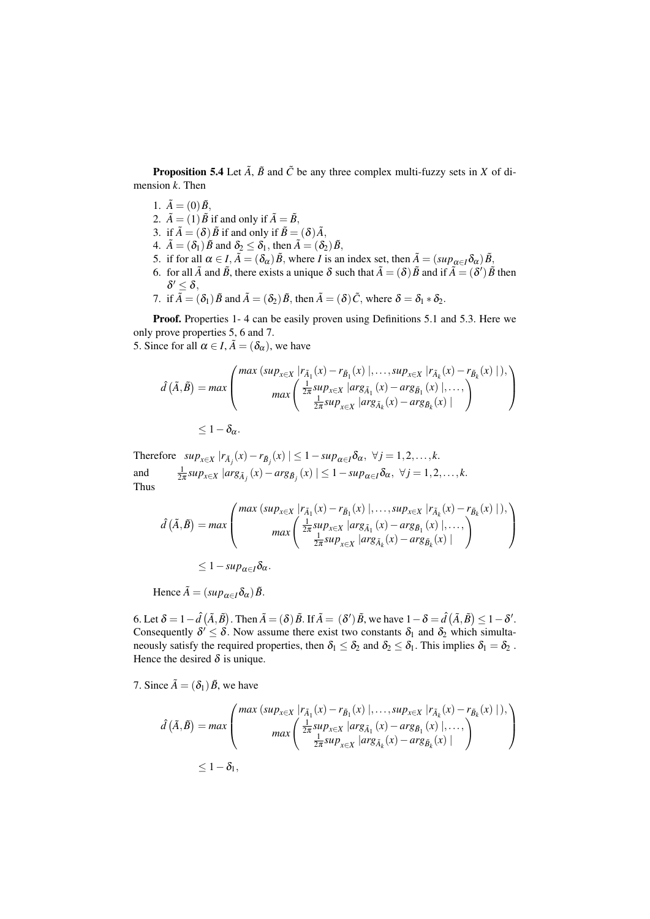**Proposition 5.4** Let  $\tilde{A}$ ,  $\tilde{B}$  and  $\tilde{C}$  be any three complex multi-fuzzy sets in *X* of dimension *k*. Then

- 1.  $\tilde{A}=(0)\tilde{B}$ ,
- 2.  $\tilde{A} = (1)\tilde{B}$  if and only if  $\tilde{A} = \tilde{B}$ ,
- 3. if  $\tilde{A} = (\delta) \tilde{B}$  if and only if  $\tilde{B} = (\delta) \tilde{A}$ ,
- 4.  $\tilde{A} = (\delta_1) \tilde{B}$  and  $\delta_2 \leq \delta_1$ , then  $\tilde{A} = (\delta_2) \tilde{B}$ ,
- 5. if for all  $\alpha \in I$ ,  $\tilde{A} = (\delta_{\alpha})\tilde{B}$ , where *I* is an index set, then  $\tilde{A} = (sup_{\alpha \in I} \delta_{\alpha})\tilde{B}$ ,
- 6. for all  $\tilde{A}$  and  $\tilde{B}$ , there exists a unique  $\delta$  such that  $\tilde{A} = (\delta) \tilde{B}$  and if  $\tilde{A} = (\delta') \tilde{B}$  then  $\delta' \leq \delta$ ,
- 7. if  $\tilde{A} = (\delta_1) \tilde{B}$  and  $\tilde{A} = (\delta_2) \tilde{B}$ , then  $\tilde{A} = (\delta) \tilde{C}$ , where  $\delta = \delta_1 * \delta_2$ .

Proof. Properties 1- 4 can be easily proven using Definitions 5.1 and 5.3. Here we only prove properties 5, 6 and 7.

5. Since for all  $\alpha \in I$ ,  $\tilde{A} = (\delta_{\alpha})$ , we have

$$
\hat{d}(\tilde{A}, \tilde{B}) = \max \left( \frac{\max (\sup_{x \in X} |r_{\tilde{A}_1}(x) - r_{\tilde{B}_1}(x) |, \dots, \sup_{x \in X} |r_{\tilde{A}_k}(x) - r_{\tilde{B}_k}(x) |),}{\max \left( \frac{\frac{1}{2\pi} \sup_{x \in X} |\arg_{\tilde{A}_1}(x) - \arg_{\tilde{B}_1}(x) |, \dots, \sum_{\tilde{A}_k} |\arg_{\tilde{A}_k}(x) - \arg_{\tilde{B}_k}(x) | \right)} \right)
$$
\n
$$
\leq 1 - \delta_{\alpha}.
$$

Therefore  $sup_{x \in X} |r_{\tilde{A}_j}(x) - r_{\tilde{B}_j}(x)| \leq 1 - sup_{\alpha \in I} \delta_\alpha, \ \forall j = 1, 2, ..., k.$ and  $\frac{1}{2\pi}sup_{x\in X}$   $|arg_{\tilde{A}_j}(x) - arg_{\tilde{B}_j}(x)| \leq 1 - sup_{\alpha \in I} \delta_{\alpha}, \ \forall j = 1, 2, ..., k.$ Thus

$$
\hat{d}(\tilde{A}, \tilde{B}) = \max \left( \frac{\max (\sup_{x \in X} |r_{\tilde{A}_1}(x) - r_{\tilde{B}_1}(x) |, \dots, \sup_{x \in X} |r_{\tilde{A}_k}(x) - r_{\tilde{B}_k}(x) |),}{\max \left( \frac{\frac{1}{2\pi} \sup_{x \in X} |arg_{\tilde{A}_1}(x) - \arg_{\tilde{B}_1}(x) |, \dots,}{\frac{1}{2\pi} \sup_{x \in X} |arg_{\tilde{A}_k}(x) - \arg_{\tilde{B}_k}(x) |} \right)} \right)
$$
\n
$$
\leq 1 - \sup_{\alpha \in I} \delta_{\alpha}.
$$

Hence  $\tilde{A} = (sup_{\alpha \in I} \delta_{\alpha}) \tilde{B}$ .

6. Let  $\delta = 1 - \hat{d} \left( \tilde{A}, \tilde{B} \right)$ . Then  $\tilde{A} = (\delta) \tilde{B}$ . If  $\tilde{A} = (\delta') \tilde{B}$ , we have  $1 - \delta = \hat{d} \left( \tilde{A}, \tilde{B} \right) \leq 1 - \delta'$ . Consequently  $\delta' \leq \delta$ . Now assume there exist two constants  $\delta_1$  and  $\delta_2$  which simultaneously satisfy the required properties, then  $\delta_1 \leq \delta_2$  and  $\delta_2 \leq \delta_1$ . This implies  $\delta_1 = \delta_2$ . Hence the desired  $\delta$  is unique.

7. Since  $\tilde{A} = (\delta_1) \tilde{B}$ , we have

$$
\hat{d}(\tilde{A}, \tilde{B}) = \max \left( \frac{\max (\sup_{x \in X} |r_{\tilde{A}_1}(x) - r_{\tilde{B}_1}(x) |, \dots, \sup_{x \in X} |r_{\tilde{A}_k}(x) - r_{\tilde{B}_k}(x) |),}{\max \left( \frac{\frac{1}{2\pi} \sup_{x \in X} |\arg_{\tilde{A}_1}(x) - \arg_{\tilde{B}_1}(x) |, \dots,}{\frac{1}{2\pi} \sup_{x \in X} |\arg_{\tilde{A}_k}(x) - \arg_{\tilde{B}_k}(x) |} \right)} \right)
$$
\n
$$
\leq 1 - \delta_1,
$$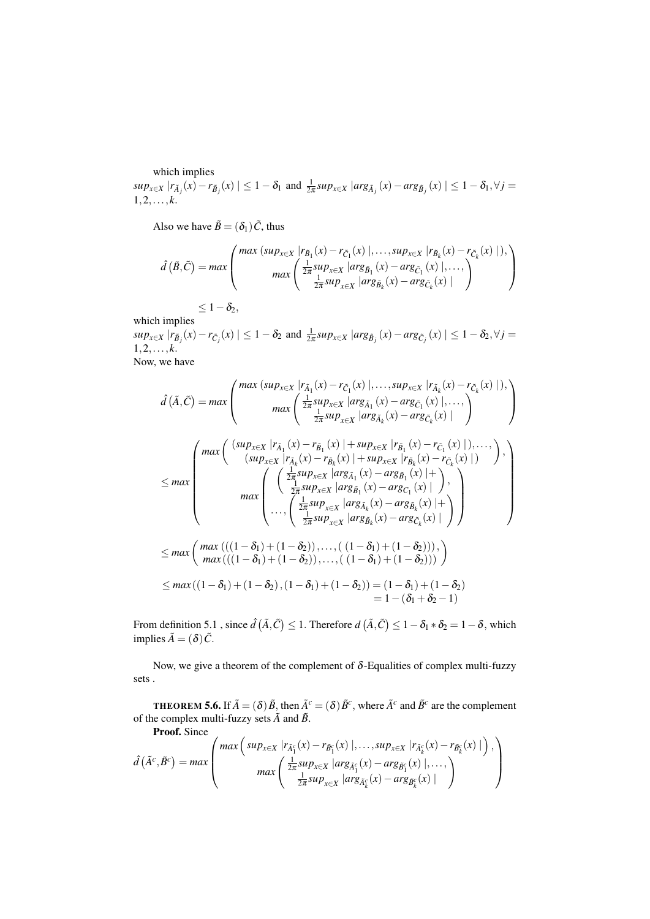which implies

 $sup_{x\in X}|r_{\tilde{A}_j}(x)-r_{\tilde{B}_j}(x)|\leq 1-\delta_1$  and  $\frac{1}{2\pi}sup_{x\in X}|arg_{\tilde{A}_j}(x)-arg_{\tilde{B}_j}(x)|\leq 1-\delta_1, \forall j=$  $1, 2, \ldots, k.$ 

Also we have  $\tilde{B} = (\delta_1) \tilde{C}$ , thus

$$
\hat{d}(\tilde{B},\tilde{C}) = \max \left( \frac{\max (\sup_{x \in X} |r_{\tilde{B}_1}(x) - r_{\tilde{C}_1}(x) |,...,sup_{x \in X} |r_{\tilde{B}_k}(x) - r_{\tilde{C}_k}(x) |),}{\max \left( \frac{\frac{1}{2\pi} \sup_{x \in X} |arg_{\tilde{B}_1}(x) - \arg_{\tilde{C}_1}(x) |,...,}{\frac{1}{2\pi} \sup_{x \in X} |arg_{\tilde{B}_k}(x) - \arg_{\tilde{C}_k}(x) |} \right)} \right)
$$
\n
$$
\leq 1 - \delta_2,
$$

which implies

 $sup_{x\in X}|r_{\tilde{B}_j}(x)-r_{\tilde{C}_j}(x)|\leq 1-\delta_2$  and  $\frac{1}{2\pi}sup_{x\in X}|arg_{\tilde{B}_j}(x)-arg_{\tilde{C}_j}(x)|\leq 1-\delta_2, \forall j=$  $1, 2, \ldots, k.$ 

Now, we have

$$
\hat{d}(\tilde{A}, \tilde{C}) = max \left( \frac{\max (\sup_{x \in X} |r_{\tilde{A}_1}(x) - r_{\tilde{C}_1}(x) |,..., \sup_{x \in X} |r_{\tilde{A}_k}(x) - r_{\tilde{C}_k}(x) |),}{\max \left( \frac{\frac{1}{2\pi} sup_{x \in X} |arg_{\tilde{A}_1}(x) - arg_{\tilde{C}_1}(x) |,...,)}{\frac{1}{2\pi} sup_{x \in X} |arg_{\tilde{A}_k}(x) - arg_{\tilde{C}_k}(x) |} \right)} \right)
$$
\n
$$
\leq max \left( \frac{\max (\frac{(sup_{x \in X} |r_{\tilde{A}_1}(x) - r_{\tilde{B}_1}(x) | + sup_{x \in X} |r_{\tilde{B}_1}(x) - r_{\tilde{C}_1}(x) |),...,}{(sup_{x \in X} |r_{\tilde{A}_k}(x) - r_{\tilde{B}_k}(x) | + sup_{x \in X} |r_{\tilde{B}_k}(x) - r_{\tilde{C}_k}(x) |)} \right), \newline \leq max \left( \frac{\left( \frac{\frac{1}{2\pi} sup_{x \in X} |arg_{\tilde{A}_1}(x) - arg_{\tilde{B}_1}(x) | +}{\frac{1}{2\pi} sup_{x \in X} |arg_{\tilde{B}_1}(x) - arg_{\tilde{C}_1}(x) |} \right),}{\left( \frac{\frac{1}{2\pi} sup_{x \in X} |arg_{\tilde{A}_k}(x) - arg_{\tilde{C}_k}(x) | +}{\frac{1}{2\pi} sup_{x \in X} |arg_{\tilde{B}_k}(x) - arg_{\tilde{C}_k}(x) |} \right)} \right)
$$
\n
$$
\leq max \left( \frac{\max ((1 - \delta_1) + (1 - \delta_2)), ..., ((1 - \delta_1) + (1 - \delta_2))),}{\max ((1 - \delta_1) + (1 - \delta_2)), ..., ((1 - \delta_1) + (1 - \delta_2)) )} \right)
$$
\n
$$
\leq max ((1 - \delta_1) + (1 - \delta_2), (1 - \delta_1) + (1 - \delta_2)) = (1 - \delta_1) + (1 - \delta_2)
$$
\n
$$
= 1 - (\delta_1 + \
$$

From definition 5.1 , since  $\hat{d}(\tilde{A}, \tilde{C}) \leq 1$ . Therefore  $d(\tilde{A}, \tilde{C}) \leq 1-\delta_1*\delta_2 = 1-\delta$ , which implies  $\tilde{A} = (\delta)\tilde{C}$ .

Now, we give a theorem of the complement of  $\delta$ -Equalities of complex multi-fuzzy sets .

**THEOREM 5.6.** If  $\tilde{A} = (\delta) \tilde{B}$ , then  $\tilde{A}^c = (\delta) \tilde{B}^c$ , where  $\tilde{A}^c$  and  $\tilde{B}^c$  are the complement of the complex multi-fuzzy sets  $\tilde{A}$  and  $\tilde{B}$ .

Proof. Since

$$
\hat{d}(\tilde{A}^c, \tilde{B}^c) = max \left( \frac{max \left( \sup_{x \in X} |r_{\tilde{A}_1^c}(x) - r_{\tilde{B}_1^c}(x) |, \dots, sup_{x \in X} |r_{\tilde{A}_k^c}(x) - r_{\tilde{B}_k^c}(x) | \right), \right)}{max \left( \frac{\frac{1}{2\pi} sup_{x \in X} |arg_{\tilde{A}_1^c}(x) - arg_{\tilde{B}_1^c}(x) |, \dots, \right)}{\frac{1}{2\pi} sup_{x \in X} |arg_{\tilde{A}_k^c}(x) - arg_{\tilde{B}_k^c}(x) |} \right)
$$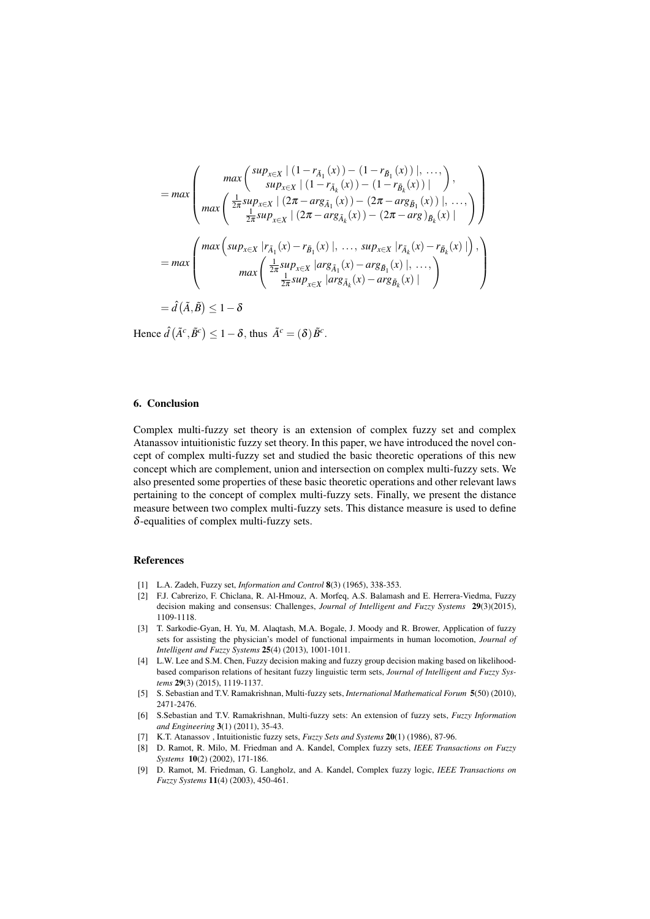$$
= max \left( \begin{array}{c} \max \left( \frac{sup_{x \in X} | (1 - r_{\tilde{A}_1}(x)) - (1 - r_{\tilde{B}_1}(x)) |, \ldots, }{sup_{x \in X} | (1 - r_{\tilde{A}_k}(x)) - (1 - r_{\tilde{B}_k}(x)) |} \right), \\ \max \left( \frac{\frac{1}{2\pi} sup_{x \in X} | (2\pi - arg_{\tilde{A}_1}(x)) - (2\pi - arg_{\tilde{B}_1}(x)) |, \ldots, }{\frac{1}{2\pi} sup_{x \in X} | (2\pi - arg_{\tilde{A}_k}(x)) - (2\pi - arg_{\tilde{B}_k}(x)) |} \right) \end{array} \right)
$$
  
\n
$$
= max \left( \frac{max \left( sup_{x \in X} | r_{\tilde{A}_1}(x) - r_{\tilde{B}_1}(x) |, \ldots, sup_{x \in X} | r_{\tilde{A}_k}(x) - r_{\tilde{B}_k}(x) | \right), \\ max \left( \frac{\frac{1}{2\pi} sup_{x \in X} | arg_{\tilde{A}_1}(x) - arg_{\tilde{B}_1}(x) |, \ldots, }{\frac{1}{2\pi} sup_{x \in X} | arg_{\tilde{A}_k}(x) - arg_{\tilde{B}_k}(x) |} \right), \ldots, \right)
$$
  
\n
$$
= \hat{d}(\tilde{A}, \tilde{B}) \leq 1 - \delta
$$

Hence  $\hat{d}(\tilde{A}^c, \tilde{B}^c) \le 1 - \delta$ , thus  $\tilde{A}^c = (\delta) \tilde{B}^c$ .

# 6. Conclusion

Complex multi-fuzzy set theory is an extension of complex fuzzy set and complex Atanassov intuitionistic fuzzy set theory. In this paper, we have introduced the novel concept of complex multi-fuzzy set and studied the basic theoretic operations of this new concept which are complement, union and intersection on complex multi-fuzzy sets. We also presented some properties of these basic theoretic operations and other relevant laws pertaining to the concept of complex multi-fuzzy sets. Finally, we present the distance measure between two complex multi-fuzzy sets. This distance measure is used to define  $\delta$ -equalities of complex multi-fuzzy sets.

#### References

- [1] L.A. Zadeh, Fuzzy set, *Information and Control* 8(3) (1965), 338-353.
- [2] F.J. Cabrerizo, F. Chiclana, R. Al-Hmouz, A. Morfeq, A.S. Balamash and E. Herrera-Viedma, Fuzzy decision making and consensus: Challenges, *Journal of Intelligent and Fuzzy Systems* 29(3)(2015), 1109-1118.
- [3] T. Sarkodie-Gyan, H. Yu, M. Alaqtash, M.A. Bogale, J. Moody and R. Brower, Application of fuzzy sets for assisting the physician's model of functional impairments in human locomotion, *Journal of Intelligent and Fuzzy Systems* 25(4) (2013), 1001-1011.
- [4] L.W. Lee and S.M. Chen, Fuzzy decision making and fuzzy group decision making based on likelihoodbased comparison relations of hesitant fuzzy linguistic term sets, *Journal of Intelligent and Fuzzy Systems* 29(3) (2015), 1119-1137.
- [5] S. Sebastian and T.V. Ramakrishnan, Multi-fuzzy sets, *International Mathematical Forum* 5(50) (2010), 2471-2476.
- [6] S.Sebastian and T.V. Ramakrishnan, Multi-fuzzy sets: An extension of fuzzy sets, *Fuzzy Information and Engineering* 3(1) (2011), 35-43.
- [7] K.T. Atanassov , Intuitionistic fuzzy sets, *Fuzzy Sets and Systems* 20(1) (1986), 87-96.
- [8] D. Ramot, R. Milo, M. Friedman and A. Kandel, Complex fuzzy sets, *IEEE Transactions on Fuzzy Systems* 10(2) (2002), 171-186.
- [9] D. Ramot, M. Friedman, G. Langholz, and A. Kandel, Complex fuzzy logic, *IEEE Transactions on Fuzzy Systems* 11(4) (2003), 450-461.